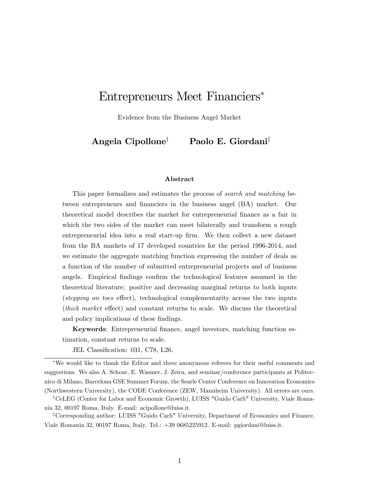# Entrepreneurs Meet Financiers

Evidence from the Business Angel Market

Angela Cipollone<sup>†</sup> Paolo E. Giordani<sup>‡</sup>

#### Abstract

This paper formalizes and estimates the process of search and matching between entrepreneurs and Önanciers in the business angel (BA) market. Our theoretical model describes the market for entrepreneurial Önance as a fair in which the two sides of the market can meet bilaterally and transform a rough entrepreneurial idea into a real start-up firm. We then collect a new dataset from the BA markets of 17 developed countries for the period 1996-2014, and we estimate the aggregate matching function expressing the number of deals as a function of the number of submitted entrepreneurial projects and of business angels. Empirical findings confirm the technological features assumed in the theoretical literature: positive and decreasing marginal returns to both inputs (stepping on toes effect), technological complementarity across the two inputs  $(hlick market \,\text{effect})$  and constant returns to scale. We discuss the theoretical and policy implications of these findings.

Keywords: Entrepreneurial Önance, angel investors, matching function estimation, constant returns to scale.

JEL Classification: 031, C78, L26.

We would like to thank the Editor and three anonymous referees for their useful comments and suggestions. We also A. Schoar, E. Wasmer, J. Zeira, and seminar/conference participants at Politecnico di Milano, Barcelona GSE Summer Forum, the Searle Center Conference on Innovation Economics (Northwestern University), the CODE Conference (ZEW, Mannheim University). All errors are ours.

<sup>†</sup>CeLEG (Center for Labor and Economic Growth), LUISS "Guido Carli" University, Viale Romania 32, 00197 Roma, Italy. E-mail: acipollone@luiss.it.

<sup>‡</sup>Corresponding author: LUISS "Guido Carli" University, Department of Economics and Finance, Viale Romania 32, 00197 Roma, Italy. Tel.: +39 0685225912. E-mail: pgiordani@luiss.it.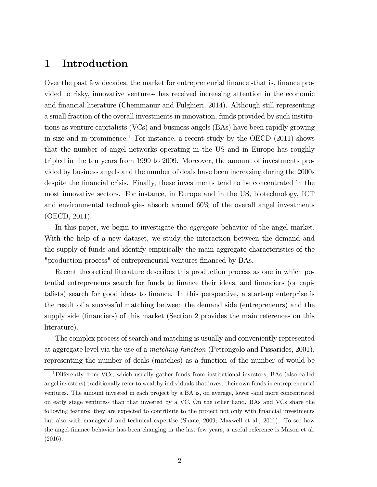# 1 Introduction

Over the past few decades, the market for entrepreneurial finance -that is, finance provided to risky, innovative ventures- has received increasing attention in the economic and Önancial literature (Chemmanur and Fulghieri, 2014). Although still representing a small fraction of the overall investments in innovation, funds provided by such institutions as venture capitalists (VCs) and business angels (BAs) have been rapidly growing in size and in prominence.<sup>1</sup> For instance, a recent study by the OECD  $(2011)$  shows that the number of angel networks operating in the US and in Europe has roughly tripled in the ten years from 1999 to 2009. Moreover, the amount of investments provided by business angels and the number of deals have been increasing during the 2000s despite the financial crisis. Finally, these investments tend to be concentrated in the most innovative sectors. For instance, in Europe and in the US, biotechnology, ICT and environmental technologies absorb around 60% of the overall angel investments (OECD, 2011).

In this paper, we begin to investigate the *aggregate* behavior of the angel market. With the help of a new dataset, we study the interaction between the demand and the supply of funds and identify empirically the main aggregate characteristics of the "production process" of entrepreneurial ventures financed by BAs.

Recent theoretical literature describes this production process as one in which potential entrepreneurs search for funds to Önance their ideas, and Önanciers (or capitalists) search for good ideas to Önance. In this perspective, a start-up enterprise is the result of a successful matching between the demand side (entrepreneurs) and the supply side (financiers) of this market (Section 2 provides the main references on this literature).

The complex process of search and matching is usually and conveniently represented at aggregate level via the use of a matching function (Petrongolo and Pissarides, 2001), representing the number of deals (matches) as a function of the number of would-be

<sup>&</sup>lt;sup>1</sup>Differently from VCs, which usually gather funds from institutional investors, BAs (also called angel investors) traditionally refer to wealthy individuals that invest their own funds in entrepreneurial ventures. The amount invested in each project by a BA is, on average, lower -and more concentrated on early stage ventures- than that invested by a VC. On the other hand, BAs and VCs share the following feature: they are expected to contribute to the project not only with financial investments but also with managerial and technical expertise (Shane, 2009; Maxwell et al., 2011). To see how the angel finance behavior has been changing in the last few years, a useful reference is Mason et al. (2016).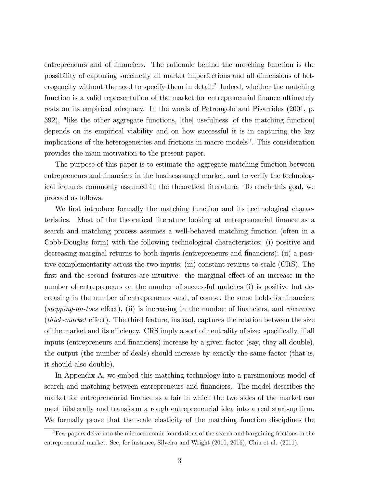entrepreneurs and of Önanciers. The rationale behind the matching function is the possibility of capturing succinctly all market imperfections and all dimensions of heterogeneity without the need to specify them in detail.<sup>2</sup> Indeed, whether the matching function is a valid representation of the market for entrepreneurial finance ultimately rests on its empirical adequacy. In the words of Petrongolo and Pisarrides (2001, p. 392), "like the other aggregate functions, [the] usefulness [of the matching function] depends on its empirical viability and on how successful it is in capturing the key implications of the heterogeneities and frictions in macro models". This consideration provides the main motivation to the present paper.

The purpose of this paper is to estimate the aggregate matching function between entrepreneurs and financiers in the business angel market, and to verify the technological features commonly assumed in the theoretical literature. To reach this goal, we proceed as follows.

We first introduce formally the matching function and its technological characteristics. Most of the theoretical literature looking at entrepreneurial finance as a search and matching process assumes a well-behaved matching function (often in a Cobb-Douglas form) with the following technological characteristics: (i) positive and decreasing marginal returns to both inputs (entrepreneurs and financiers); (ii) a positive complementarity across the two inputs; (iii) constant returns to scale (CRS). The first and the second features are intuitive: the marginal effect of an increase in the number of entrepreneurs on the number of successful matches (i) is positive but decreasing in the number of entrepreneurs -and, of course, the same holds for Önanciers (stepping-on-toes effect), (ii) is increasing in the number of financiers, and viceversa  $(hlick-market \,\,effect)$ . The third feature, instead, captures the relation between the size of the market and its efficiency. CRS imply a sort of neutrality of size: specifically, if all inputs (entrepreneurs and financiers) increase by a given factor (say, they all double), the output (the number of deals) should increase by exactly the same factor (that is, it should also double).

In Appendix A, we embed this matching technology into a parsimonious model of search and matching between entrepreneurs and Önanciers. The model describes the market for entrepreneurial finance as a fair in which the two sides of the market can meet bilaterally and transform a rough entrepreneurial idea into a real start-up firm. We formally prove that the scale elasticity of the matching function disciplines the

<sup>&</sup>lt;sup>2</sup>Few papers delve into the microeconomic foundations of the search and bargaining frictions in the entrepreneurial market. See, for instance, Silveira and Wright (2010, 2016), Chiu et al. (2011).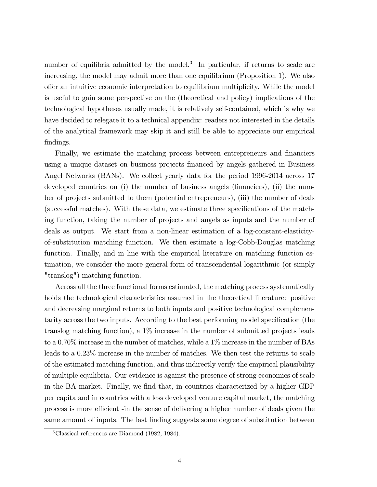number of equilibria admitted by the model.<sup>3</sup> In particular, if returns to scale are increasing, the model may admit more than one equilibrium (Proposition 1). We also offer an intuitive economic interpretation to equilibrium multiplicity. While the model is useful to gain some perspective on the (theoretical and policy) implications of the technological hypotheses usually made, it is relatively self-contained, which is why we have decided to relegate it to a technical appendix: readers not interested in the details of the analytical framework may skip it and still be able to appreciate our empirical findings.

Finally, we estimate the matching process between entrepreneurs and financiers using a unique dataset on business projects financed by angels gathered in Business Angel Networks (BANs). We collect yearly data for the period 1996-2014 across 17 developed countries on (i) the number of business angels (financiers), (ii) the number of projects submitted to them (potential entrepreneurs), (iii) the number of deals (successful matches). With these data, we estimate three specifications of the matching function, taking the number of projects and angels as inputs and the number of deals as output. We start from a non-linear estimation of a log-constant-elasticityof-substitution matching function. We then estimate a log-Cobb-Douglas matching function. Finally, and in line with the empirical literature on matching function estimation, we consider the more general form of transcendental logarithmic (or simply "translog") matching function.

Across all the three functional forms estimated, the matching process systematically holds the technological characteristics assumed in the theoretical literature: positive and decreasing marginal returns to both inputs and positive technological complementarity across the two inputs. According to the best performing model specification (the translog matching function), a 1% increase in the number of submitted projects leads to a 0:70% increase in the number of matches, while a 1% increase in the number of BAs leads to a  $0.23\%$  increase in the number of matches. We then test the returns to scale of the estimated matching function, and thus indirectly verify the empirical plausibility of multiple equilibria. Our evidence is against the presence of strong economies of scale in the BA market. Finally, we find that, in countries characterized by a higher GDP per capita and in countries with a less developed venture capital market, the matching process is more efficient -in the sense of delivering a higher number of deals given the same amount of inputs. The last finding suggests some degree of substitution between

<sup>3</sup>Classical references are Diamond (1982, 1984).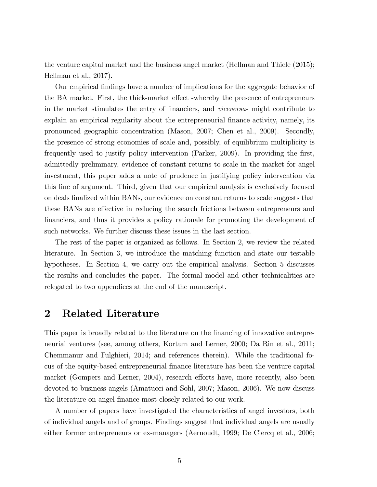the venture capital market and the business angel market (Hellman and Thiele (2015); Hellman et al., 2017).

Our empirical Öndings have a number of implications for the aggregate behavior of the BA market. First, the thick-market effect -whereby the presence of entrepreneurs in the market stimulates the entry of financiers, and *viceversa*- might contribute to explain an empirical regularity about the entrepreneurial finance activity, namely, its pronounced geographic concentration (Mason, 2007; Chen et al., 2009). Secondly, the presence of strong economies of scale and, possibly, of equilibrium multiplicity is frequently used to justify policy intervention (Parker, 2009). In providing the Örst, admittedly preliminary, evidence of constant returns to scale in the market for angel investment, this paper adds a note of prudence in justifying policy intervention via this line of argument. Third, given that our empirical analysis is exclusively focused on deals finalized within BANs, our evidence on constant returns to scale suggests that these BANs are effective in reducing the search frictions between entrepreneurs and Önanciers, and thus it provides a policy rationale for promoting the development of such networks. We further discuss these issues in the last section.

The rest of the paper is organized as follows. In Section 2, we review the related literature. In Section 3, we introduce the matching function and state our testable hypotheses. In Section 4, we carry out the empirical analysis. Section 5 discusses the results and concludes the paper. The formal model and other technicalities are relegated to two appendices at the end of the manuscript.

# 2 Related Literature

This paper is broadly related to the literature on the financing of innovative entrepreneurial ventures (see, among others, Kortum and Lerner, 2000; Da Rin et al., 2011; Chemmanur and Fulghieri, 2014; and references therein). While the traditional focus of the equity-based entrepreneurial Önance literature has been the venture capital market (Gompers and Lerner, 2004), research efforts have, more recently, also been devoted to business angels (Amatucci and Sohl, 2007; Mason, 2006). We now discuss the literature on angel finance most closely related to our work.

A number of papers have investigated the characteristics of angel investors, both of individual angels and of groups. Findings suggest that individual angels are usually either former entrepreneurs or ex-managers (Aernoudt, 1999; De Clercq et al., 2006;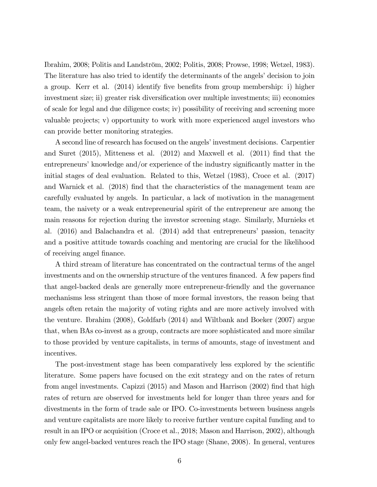Ibrahim, 2008; Politis and Landström, 2002; Politis, 2008; Prowse, 1998; Wetzel, 1983). The literature has also tried to identify the determinants of the angels' decision to join a group. Kerr et al.  $(2014)$  identify five benefits from group membership: i) higher investment size; ii) greater risk diversification over multiple investments; iii) economies of scale for legal and due diligence costs; iv) possibility of receiving and screening more valuable projects; v) opportunity to work with more experienced angel investors who can provide better monitoring strategies.

A second line of research has focused on the angels' investment decisions. Carpentier and Suret (2015), Mitteness et al. (2012) and Maxwell et al. (2011) Önd that the entrepreneurs' knowledge and/or experience of the industry significantly matter in the initial stages of deal evaluation. Related to this, Wetzel (1983), Croce et al. (2017) and Warnick et al. (2018) find that the characteristics of the management team are carefully evaluated by angels. In particular, a lack of motivation in the management team, the naivety or a weak entrepreneurial spirit of the entrepreneur are among the main reasons for rejection during the investor screening stage. Similarly, Murnieks et al. (2016) and Balachandra et al. (2014) add that entrepreneursí passion, tenacity and a positive attitude towards coaching and mentoring are crucial for the likelihood of receiving angel finance.

A third stream of literature has concentrated on the contractual terms of the angel investments and on the ownership structure of the ventures financed. A few papers find that angel-backed deals are generally more entrepreneur-friendly and the governance mechanisms less stringent than those of more formal investors, the reason being that angels often retain the majority of voting rights and are more actively involved with the venture. Ibrahim (2008), Goldfarb (2014) and Wiltbank and Boeker (2007) argue that, when BAs co-invest as a group, contracts are more sophisticated and more similar to those provided by venture capitalists, in terms of amounts, stage of investment and incentives.

The post-investment stage has been comparatively less explored by the scientific literature. Some papers have focused on the exit strategy and on the rates of return from angel investments. Capizzi (2015) and Mason and Harrison (2002) find that high rates of return are observed for investments held for longer than three years and for divestments in the form of trade sale or IPO. Co-investments between business angels and venture capitalists are more likely to receive further venture capital funding and to result in an IPO or acquisition (Croce et al., 2018; Mason and Harrison, 2002), although only few angel-backed ventures reach the IPO stage (Shane, 2008). In general, ventures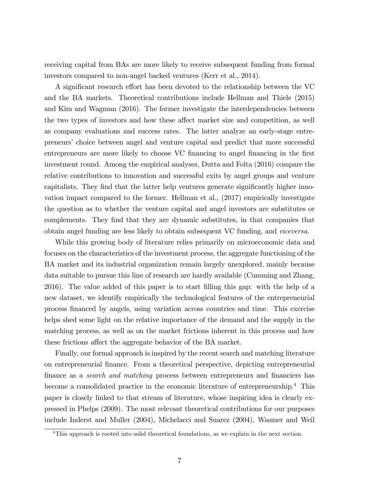receiving capital from BAs are more likely to receive subsequent funding from formal investors compared to non-angel backed ventures (Kerr et al., 2014).

A significant research effort has been devoted to the relationship between the VC and the BA markets. Theoretical contributions include Hellman and Thiele (2015) and Kim and Wagman (2016). The former investigate the interdependencies between the two types of investors and how these affect market size and competition, as well as company evaluations and success rates. The latter analyze an early-stage entrepreneursíchoice between angel and venture capital and predict that more successful entrepreneurs are more likely to choose VC financing to angel financing in the first investment round. Among the empirical analyses, Dutta and Folta (2016) compare the relative contributions to innovation and successful exits by angel groups and venture capitalists. They find that the latter help ventures generate significantly higher innovation impact compared to the former. Hellman et al., (2017) empirically investigate the question as to whether the venture capital and angel investors are substitutes or complements. They Önd that they are dynamic substitutes, in that companies that obtain angel funding are less likely to obtain subsequent VC funding, and viceversa.

While this growing body of literature relies primarily on microeconomic data and focuses on the characteristics of the investment process, the aggregate functioning of the BA market and its industrial organization remain largely unexplored, mainly because data suitable to pursue this line of research are hardly available (Cumming and Zhang, 2016). The value added of this paper is to start Ölling this gap: with the help of a new dataset, we identify empirically the technological features of the entrepreneurial process Önanced by angels, using variation across countries and time. This exercise helps shed some light on the relative importance of the demand and the supply in the matching process, as well as on the market frictions inherent in this process and how these frictions affect the aggregate behavior of the BA market.

Finally, our formal approach is inspired by the recent search and matching literature on entrepreneurial Önance. From a theoretical perspective, depicting entrepreneurial finance as a *search and matching* process between entrepreneurs and financiers has become a consolidated practice in the economic literature of entrepreneurship.<sup>4</sup> This paper is closely linked to that stream of literature, whose inspiring idea is clearly expressed in Phelps (2009). The most relevant theoretical contributions for our purposes include Inderst and Muller (2004), Michelacci and Suarez (2004), Wasmer and Weil

<sup>4</sup>This approach is rooted into solid theoretical foundations, as we explain in the next section.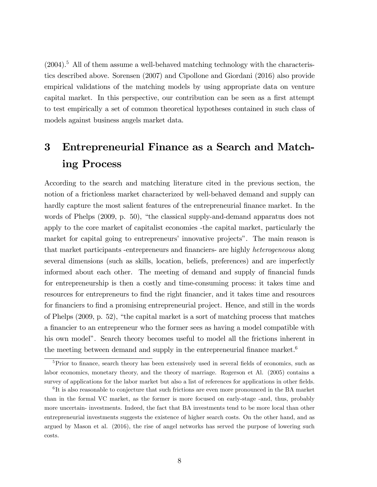$(2004).<sup>5</sup>$  All of them assume a well-behaved matching technology with the characteristics described above. Sorensen (2007) and Cipollone and Giordani (2016) also provide empirical validations of the matching models by using appropriate data on venture capital market. In this perspective, our contribution can be seen as a first attempt to test empirically a set of common theoretical hypotheses contained in such class of models against business angels market data.

# 3 Entrepreneurial Finance as a Search and Matching Process

According to the search and matching literature cited in the previous section, the notion of a frictionless market characterized by well-behaved demand and supply can hardly capture the most salient features of the entrepreneurial finance market. In the words of Phelps  $(2009, p. 50)$ , "the classical supply-and-demand apparatus does not apply to the core market of capitalist economies -the capital market, particularly the market for capital going to entrepreneurs' innovative projects". The main reason is that market participants -entrepreneurs and financiers- are highly *heterogeneous* along several dimensions (such as skills, location, beliefs, preferences) and are imperfectly informed about each other. The meeting of demand and supply of financial funds for entrepreneurship is then a costly and time-consuming process: it takes time and resources for entrepreneurs to find the right financier, and it takes time and resources for financiers to find a promising entrepreneurial project. Hence, and still in the words of Phelps  $(2009, p. 52)$ , "the capital market is a sort of matching process that matches a financier to an entrepreneur who the former sees as having a model compatible with his own model". Search theory becomes useful to model all the frictions inherent in the meeting between demand and supply in the entrepreneurial finance market.<sup> $6$ </sup>

 $5P$ rior to finance, search theory has been extensively used in several fields of economics, such as labor economics, monetary theory, and the theory of marriage. Rogerson et Al. (2005) contains a survey of applications for the labor market but also a list of references for applications in other fields.

<sup>&</sup>lt;sup>6</sup>It is also reasonable to conjecture that such frictions are even more pronounced in the BA market than in the formal VC market, as the former is more focused on early-stage -and, thus, probably more uncertain- investments. Indeed, the fact that BA investments tend to be more local than other entrepreneurial investments suggests the existence of higher search costs. On the other hand, and as argued by Mason et al. (2016), the rise of angel networks has served the purpose of lowering such costs.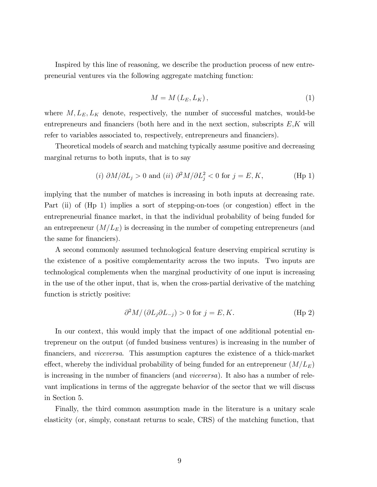Inspired by this line of reasoning, we describe the production process of new entrepreneurial ventures via the following aggregate matching function:

$$
M = M\left(L_E, L_K\right),\tag{1}
$$

where  $M, L_E, L_K$  denote, respectively, the number of successful matches, would-be entrepreneurs and financiers (both here and in the next section, subscripts  $E, K$  will refer to variables associated to, respectively, entrepreneurs and financiers).

Theoretical models of search and matching typically assume positive and decreasing marginal returns to both inputs, that is to say

(i) 
$$
\partial M/\partial L_j > 0
$$
 and (ii)  $\partial^2 M/\partial L_j^2 < 0$  for  $j = E, K$ , (Hp 1)

implying that the number of matches is increasing in both inputs at decreasing rate. Part (ii) of  $(Hp 1)$  implies a sort of stepping-on-toes (or congestion) effect in the entrepreneurial Önance market, in that the individual probability of being funded for an entrepreneur  $(M/L_E)$  is decreasing in the number of competing entrepreneurs (and the same for financiers).

A second commonly assumed technological feature deserving empirical scrutiny is the existence of a positive complementarity across the two inputs. Two inputs are technological complements when the marginal productivity of one input is increasing in the use of the other input, that is, when the cross-partial derivative of the matching function is strictly positive:

$$
\frac{\partial^2 M}{\partial L_j \partial L_{-j}} > 0 \text{ for } j = E, K. \tag{Hp 2}
$$

In our context, this would imply that the impact of one additional potential entrepreneur on the output (of funded business ventures) is increasing in the number of Önanciers, and viceversa. This assumption captures the existence of a thick-market effect, whereby the individual probability of being funded for an entrepreneur  $(M/L<sub>E</sub>)$ is increasing in the number of financiers (and *viceversa*). It also has a number of relevant implications in terms of the aggregate behavior of the sector that we will discuss in Section 5.

Finally, the third common assumption made in the literature is a unitary scale elasticity (or, simply, constant returns to scale, CRS) of the matching function, that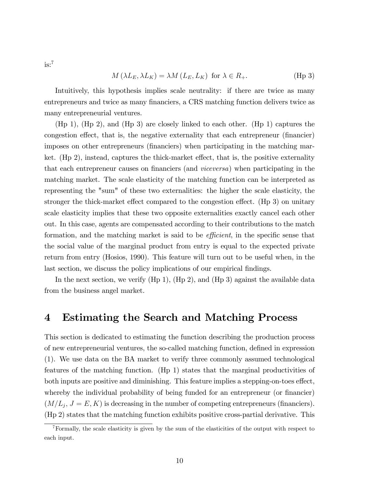$is:$ <sup>7</sup>

$$
M\left(\lambda L_E, \lambda L_K\right) = \lambda M\left(L_E, L_K\right) \text{ for } \lambda \in R_+.
$$
 (Hp 3)

Intuitively, this hypothesis implies scale neutrality: if there are twice as many entrepreneurs and twice as many financiers, a CRS matching function delivers twice as many entrepreneurial ventures.

(Hp 1), (Hp 2), and (Hp 3) are closely linked to each other. (Hp 1) captures the congestion effect, that is, the negative externality that each entrepreneur (financier) imposes on other entrepreneurs (Önanciers) when participating in the matching market. (Hp 2), instead, captures the thick-market effect, that is, the positive externality that each entrepreneur causes on financiers (and *viceversa*) when participating in the matching market. The scale elasticity of the matching function can be interpreted as representing the "sum" of these two externalities: the higher the scale elasticity, the stronger the thick-market effect compared to the congestion effect. (Hp 3) on unitary scale elasticity implies that these two opposite externalities exactly cancel each other out. In this case, agents are compensated according to their contributions to the match formation, and the matching market is said to be *efficient*, in the specific sense that the social value of the marginal product from entry is equal to the expected private return from entry (Hosios, 1990). This feature will turn out to be useful when, in the last section, we discuss the policy implications of our empirical findings.

In the next section, we verify  $(Hp 1)$ ,  $(Hp 2)$ , and  $(Hp 3)$  against the available data from the business angel market.

# 4 Estimating the Search and Matching Process

This section is dedicated to estimating the function describing the production process of new entrepreneurial ventures, the so-called matching function, defined in expression (1). We use data on the BA market to verify three commonly assumed technological features of the matching function. (Hp 1) states that the marginal productivities of both inputs are positive and diminishing. This feature implies a stepping-on-toes effect, whereby the individual probability of being funded for an entrepreneur (or financier)  $(M/L_j, J = E, K)$  is decreasing in the number of competing entrepreneurs (financiers). (Hp 2) states that the matching function exhibits positive cross-partial derivative. This

<sup>7</sup>Formally, the scale elasticity is given by the sum of the elasticities of the output with respect to each input.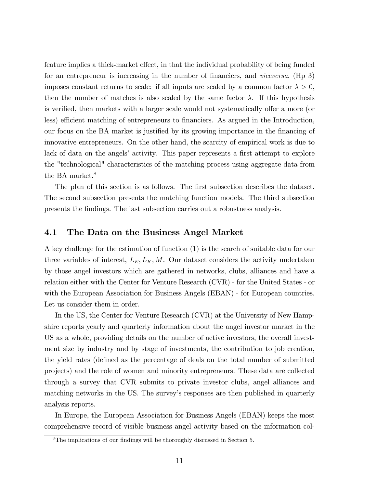feature implies a thick-market effect, in that the individual probability of being funded for an entrepreneur is increasing in the number of financiers, and *viceversa*. (Hp 3) imposes constant returns to scale: if all inputs are scaled by a common factor  $\lambda > 0$ , then the number of matches is also scaled by the same factor  $\lambda$ . If this hypothesis is verified, then markets with a larger scale would not systematically offer a more (or less) efficient matching of entrepreneurs to financiers. As argued in the Introduction, our focus on the BA market is justified by its growing importance in the financing of innovative entrepreneurs. On the other hand, the scarcity of empirical work is due to lack of data on the angels' activity. This paper represents a first attempt to explore the "technological" characteristics of the matching process using aggregate data from the BA market.<sup>8</sup>

The plan of this section is as follows. The first subsection describes the dataset. The second subsection presents the matching function models. The third subsection presents the Öndings. The last subsection carries out a robustness analysis.

### 4.1 The Data on the Business Angel Market

A key challenge for the estimation of function (1) is the search of suitable data for our three variables of interest,  $L_E, L_K, M$ . Our dataset considers the activity undertaken by those angel investors which are gathered in networks, clubs, alliances and have a relation either with the Center for Venture Research (CVR) - for the United States - or with the European Association for Business Angels (EBAN) - for European countries. Let us consider them in order.

In the US, the Center for Venture Research (CVR) at the University of New Hampshire reports yearly and quarterly information about the angel investor market in the US as a whole, providing details on the number of active investors, the overall investment size by industry and by stage of investments, the contribution to job creation, the yield rates (defined as the percentage of deals on the total number of submitted projects) and the role of women and minority entrepreneurs. These data are collected through a survey that CVR submits to private investor clubs, angel alliances and matching networks in the US. The survey's responses are then published in quarterly analysis reports.

In Europe, the European Association for Business Angels (EBAN) keeps the most comprehensive record of visible business angel activity based on the information col-

<sup>&</sup>lt;sup>8</sup>The implications of our findings will be thoroughly discussed in Section 5.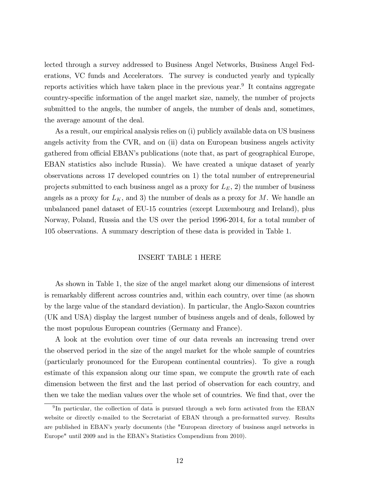lected through a survey addressed to Business Angel Networks, Business Angel Federations, VC funds and Accelerators. The survey is conducted yearly and typically reports activities which have taken place in the previous year.<sup>9</sup> It contains aggregate country-speciÖc information of the angel market size, namely, the number of projects submitted to the angels, the number of angels, the number of deals and, sometimes, the average amount of the deal.

As a result, our empirical analysis relies on (i) publicly available data on US business angels activity from the CVR, and on (ii) data on European business angels activity gathered from official EBAN's publications (note that, as part of geographical Europe, EBAN statistics also include Russia). We have created a unique dataset of yearly observations across 17 developed countries on 1) the total number of entrepreneurial projects submitted to each business angel as a proxy for  $L<sub>E</sub>$ , 2) the number of business angels as a proxy for  $L_K$ , and 3) the number of deals as a proxy for M. We handle an unbalanced panel dataset of EU-15 countries (except Luxembourg and Ireland), plus Norway, Poland, Russia and the US over the period 1996-2014, for a total number of 105 observations. A summary description of these data is provided in Table 1.

#### INSERT TABLE 1 HERE

As shown in Table 1, the size of the angel market along our dimensions of interest is remarkably different across countries and, within each country, over time (as shown by the large value of the standard deviation). In particular, the Anglo-Saxon countries (UK and USA) display the largest number of business angels and of deals, followed by the most populous European countries (Germany and France).

A look at the evolution over time of our data reveals an increasing trend over the observed period in the size of the angel market for the whole sample of countries (particularly pronounced for the European continental countries). To give a rough estimate of this expansion along our time span, we compute the growth rate of each dimension between the first and the last period of observation for each country, and then we take the median values over the whole set of countries. We find that, over the

<sup>&</sup>lt;sup>9</sup>In particular, the collection of data is pursued through a web form activated from the EBAN website or directly e-mailed to the Secretariat of EBAN through a pre-formatted survey. Results are published in EBAN's yearly documents (the "European directory of business angel networks in Europe" until 2009 and in the EBAN's Statistics Compendium from 2010).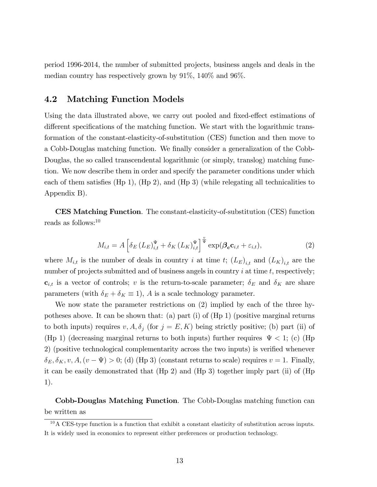period 1996-2014, the number of submitted projects, business angels and deals in the median country has respectively grown by 91%, 140% and 96%.

## 4.2 Matching Function Models

Using the data illustrated above, we carry out pooled and fixed-effect estimations of different specifications of the matching function. We start with the logarithmic transformation of the constant-elasticity-of-substitution (CES) function and then move to a Cobb-Douglas matching function. We finally consider a generalization of the Cobb-Douglas, the so called transcendental logarithmic (or simply, translog) matching function. We now describe them in order and specify the parameter conditions under which each of them satisfies (Hp 1), (Hp 2), and (Hp 3) (while relegating all technicalities to Appendix B).

CES Matching Function. The constant-elasticity-of-substitution (CES) function reads as follows:<sup>10</sup>

$$
M_{i,t} = A \left[ \delta_E \left( L_E \right)_{i,t}^{\Psi} + \delta_K \left( L_K \right)_{i,t}^{\Psi} \right]_{\Psi}^{\Psi} \exp(\beta_{\mathbf{c}} \mathbf{c}_{i,t} + \varepsilon_{i,t}), \tag{2}
$$

where  $M_{i,t}$  is the number of deals in country i at time t;  $(L_E)_{i,t}$  and  $(L_K)_{i,t}$  are the number of projects submitted and of business angels in country  $i$  at time  $t$ , respectively;  $c_{i,t}$  is a vector of controls; v is the return-to-scale parameter;  $\delta_E$  and  $\delta_K$  are share parameters (with  $\delta_E + \delta_K \equiv 1$ ), A is a scale technology parameter.

We now state the parameter restrictions on (2) implied by each of the three hypotheses above. It can be shown that: (a) part (i) of (Hp 1) (positive marginal returns to both inputs) requires  $v, A, \delta_j$  (for  $j = E, K$ ) being strictly positive; (b) part (ii) of (Hp 1) (decreasing marginal returns to both inputs) further requires  $\Psi < 1$ ; (c) (Hp 2) (positive technological complementarity across the two inputs) is verified whenever  $\delta_E, \delta_K, v, A, (v - \Psi) > 0$ ; (d) (Hp 3) (constant returns to scale) requires  $v = 1$ . Finally, it can be easily demonstrated that (Hp 2) and (Hp 3) together imply part (ii) of (Hp 1).

Cobb-Douglas Matching Function. The Cobb-Douglas matching function can be written as

 $10$ A CES-type function is a function that exhibit a constant elasticity of substitution across inputs. It is widely used in economics to represent either preferences or production technology.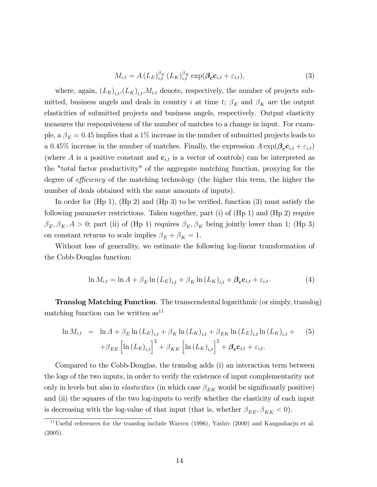$$
M_{i,t} = A \left( L_E \right)_{i,t}^{\beta_E} \left( L_K \right)_{i,t}^{\beta_K} \exp(\beta_{\mathbf{c}} \mathbf{c}_{i,t} + \varepsilon_{i,t}), \tag{3}
$$

where, again,  $(L_E)_{i,t}$ ,  $(L_K)_{i,t}$ ,  $M_{i,t}$  denote, respectively, the number of projects submitted, business angels and deals in country i at time t;  $\beta_E$  and  $\beta_K$  are the output elasticities of submitted projects and business angels, respectively. Output elasticity measures the responsiveness of the number of matches to a change in input. For example, a  $\beta_E = 0.45$  implies that a 1% increase in the number of submitted projects leads to a 0.45% increase in the number of matches. Finally, the expression  $A \exp(\beta_c \mathbf{c}_{i,t} + \varepsilon_{i,t})$ (where A is a positive constant and  $c_{i,t}$  is a vector of controls) can be interpreted as the "total factor productivity" of the aggregate matching function, proxying for the degree of *efficiency* of the matching technology (the higher this term, the higher the number of deals obtained with the same amounts of inputs).

In order for  $(Hp 1)$ ,  $(Hp 2)$  and  $(Hp 3)$  to be verified, function  $(3)$  must satisfy the following parameter restrictions. Taken together, part (i) of (Hp 1) and (Hp 2) require  $\beta_E, \beta_K, A > 0$ ; part (ii) of (Hp 1) requires  $\beta_E, \beta_K$  being jointly lower than 1; (Hp 3) on constant returns to scale implies  $\beta_E + \beta_K = 1$ .

Without loss of generality, we estimate the following log-linear transformation of the Cobb-Douglas function:

$$
\ln M_{i,t} = \ln A + \beta_E \ln (L_E)_{i,t} + \beta_K \ln (L_K)_{i,t} + \beta_c \mathbf{c}_{i,t} + \varepsilon_{i,t}.
$$
 (4)

Translog Matching Function. The transcendental logarithmic (or simply, translog) matching function can be written  $as<sup>11</sup>$ 

$$
\ln M_{i,t} = \ln A + \beta_E \ln (L_E)_{i,t} + \beta_K \ln (L_K)_{i,t} + \beta_{EK} \ln (L_E)_{i,t} \ln (L_K)_{i,t} + (5) + \beta_{EE} \left[ \ln (L_E)_{i,t} \right]^2 + \beta_{KK} \left[ \ln (L_K)_{i,t} \right]^2 + \beta_{\mathbf{c}} \mathbf{c}_{i,t} + \varepsilon_{i,t}.
$$

Compared to the Cobb-Douglas, the translog adds (i) an interaction term between the logs of the two inputs, in order to verify the existence of input complementarity not only in levels but also in *elasticities* (in which case  $\beta_{EK}$  would be significantly positive) and (ii) the squares of the two log-inputs to verify whether the elasticity of each input is decreasing with the log-value of that input (that is, whether  $\beta_{EE}$ ,  $\beta_{KK}$  < 0).

<sup>&</sup>lt;sup>11</sup>Useful references for the translog include Warren (1996), Yashiv (2000) and Kangasharju et al. (2005).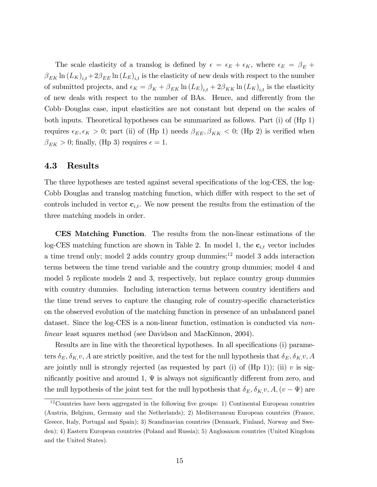The scale elasticity of a translog is defined by  $\epsilon = \epsilon_E + \epsilon_K$ , where  $\epsilon_E = \beta_E + \epsilon_K$  $\beta_{EK}\ln{(L_K)}_{i,t}+2\beta_{EE}\ln{(L_E)}_{i,t}$  is the elasticity of new deals with respect to the number of submitted projects, and  $\epsilon_K = \beta_K + \beta_{EK} \ln(L_E)_{i,t} + 2\beta_{KK} \ln(L_K)_{i,t}$  is the elasticity of new deals with respect to the number of BAs. Hence, and differently from the Cobb–Douglas case, input elasticities are not constant but depend on the scales of both inputs. Theoretical hypotheses can be summarized as follows. Part (i) of (Hp 1) requires  $\epsilon_E, \epsilon_K > 0$ ; part (ii) of (Hp 1) needs  $\beta_{EE}, \beta_{KK} < 0$ ; (Hp 2) is verified when  $\beta_{EK} > 0$ ; finally, (Hp 3) requires  $\epsilon = 1$ .

### 4.3 Results

The three hypotheses are tested against several specifications of the log-CES, the log-Cobb Douglas and translog matching function, which differ with respect to the set of controls included in vector  $c_{i,t}$ . We now present the results from the estimation of the three matching models in order.

CES Matching Function. The results from the non-linear estimations of the log-CES matching function are shown in Table 2. In model 1, the  $c_{i,t}$  vector includes a time trend only; model 2 adds country group dummies; $^{12}$  model 3 adds interaction terms between the time trend variable and the country group dummies; model 4 and model 5 replicate models 2 and 3, respectively, but replace country group dummies with country dummies. Including interaction terms between country identifiers and the time trend serves to capture the changing role of country-specific characteristics on the observed evolution of the matching function in presence of an unbalanced panel dataset. Since the log-CES is a non-linear function, estimation is conducted via *non*linear least squares method (see Davidson and MacKinnon, 2004).

Results are in line with the theoretical hypotheses. In all specifications (i) parameters  $\delta_E$ ,  $\delta_K$ ,  $v$ ,  $A$  are strictly positive, and the test for the null hypothesis that  $\delta_E$ ,  $\delta_K$ ,  $v$ ,  $A$ are jointly null is strongly rejected (as requested by part (i) of  $(Hp 1)$ ); (ii) v is significantly positive and around 1,  $\Psi$  is always not significantly different from zero, and the null hypothesis of the joint test for the null hypothesis that  $\delta_E$ ,  $\delta_K$ ,  $v$ ,  $A$ ,  $(v - \Psi)$  are

 $12$  Countries have been aggregated in the following five groups: 1) Continental European countries (Austria, Belgium, Germany and the Netherlands); 2) Mediterranean European countries (France, Greece, Italy, Portugal and Spain); 3) Scandinavian countries (Denmark, Finland, Norway and Sweden); 4) Eastern European countries (Poland and Russia); 5) Anglosaxon countries (United Kingdom and the United States).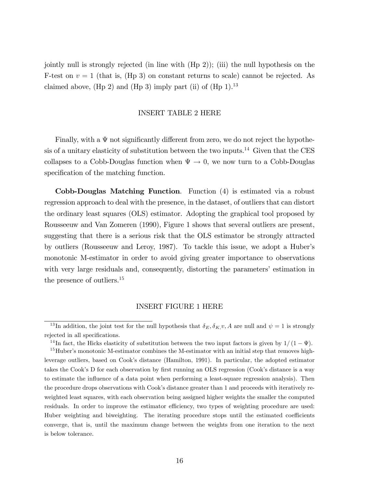jointly null is strongly rejected (in line with (Hp 2)); (iii) the null hypothesis on the F-test on  $v = 1$  (that is, (Hp 3) on constant returns to scale) cannot be rejected. As claimed above,  $(Hp 2)$  and  $(Hp 3)$  imply part (ii) of  $(Hp 1)$ .<sup>13</sup>

#### INSERT TABLE 2 HERE

Finally, with a  $\Psi$  not significantly different from zero, we do not reject the hypothesis of a unitary elasticity of substitution between the two inputs.<sup>14</sup> Given that the CES collapses to a Cobb-Douglas function when  $\Psi \to 0$ , we now turn to a Cobb-Douglas specification of the matching function.

Cobb-Douglas Matching Function. Function (4) is estimated via a robust regression approach to deal with the presence, in the dataset, of outliers that can distort the ordinary least squares (OLS) estimator. Adopting the graphical tool proposed by Rousseeuw and Van Zomeren (1990), Figure 1 shows that several outliers are present, suggesting that there is a serious risk that the OLS estimator be strongly attracted by outliers (Rousseeuw and Leroy, 1987). To tackle this issue, we adopt a Huberís monotonic M-estimator in order to avoid giving greater importance to observations with very large residuals and, consequently, distorting the parameters' estimation in the presence of outliers.<sup>15</sup>

#### INSERT FIGURE 1 HERE

<sup>&</sup>lt;sup>13</sup>In addition, the joint test for the null hypothesis that  $\delta_E, \delta_K, v, A$  are null and  $\psi = 1$  is strongly rejected in all specifications.

<sup>&</sup>lt;sup>14</sup>In fact, the Hicks elasticity of substitution between the two input factors is given by  $1/(1 - \Psi)$ .

<sup>&</sup>lt;sup>15</sup>Huber's monotonic M-estimator combines the M-estimator with an initial step that removes highleverage outliers, based on Cook's distance (Hamilton, 1991). In particular, the adopted estimator takes the Cook's D for each observation by first running an OLS regression (Cook's distance is a way to estimate the influence of a data point when performing a least-square regression analysis). Then the procedure drops observations with Cookís distance greater than 1 and proceeds with iteratively reweighted least squares, with each observation being assigned higher weights the smaller the computed residuals. In order to improve the estimator efficiency, two types of weighting procedure are used: Huber weighting and biweighting. The iterating procedure stops until the estimated coefficients converge, that is, until the maximum change between the weights from one iteration to the next is below tolerance.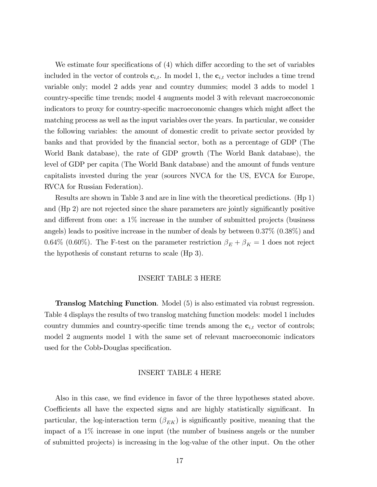We estimate four specifications of  $(4)$  which differ according to the set of variables included in the vector of controls  $c_{i,t}$ . In model 1, the  $c_{i,t}$  vector includes a time trend variable only; model 2 adds year and country dummies; model 3 adds to model 1 country-specific time trends; model 4 augments model 3 with relevant macroeconomic indicators to proxy for country-specific macroeconomic changes which might affect the matching process as well as the input variables over the years. In particular, we consider the following variables: the amount of domestic credit to private sector provided by banks and that provided by the financial sector, both as a percentage of GDP (The World Bank database), the rate of GDP growth (The World Bank database), the level of GDP per capita (The World Bank database) and the amount of funds venture capitalists invested during the year (sources NVCA for the US, EVCA for Europe, RVCA for Russian Federation).

Results are shown in Table 3 and are in line with the theoretical predictions. (Hp 1) and  $(Hp 2)$  are not rejected since the share parameters are jointly significantly positive and different from one: a  $1\%$  increase in the number of submitted projects (business angels) leads to positive increase in the number of deals by between 0:37% (0:38%) and 0.64% (0.60%). The F-test on the parameter restriction  $\beta_E + \beta_K = 1$  does not reject the hypothesis of constant returns to scale (Hp 3).

#### INSERT TABLE 3 HERE

Translog Matching Function. Model (5) is also estimated via robust regression. Table 4 displays the results of two translog matching function models: model 1 includes country dummies and country-specific time trends among the  $c_{i,t}$  vector of controls; model 2 augments model 1 with the same set of relevant macroeconomic indicators used for the Cobb-Douglas specification.

#### INSERT TABLE 4 HERE

Also in this case, we find evidence in favor of the three hypotheses stated above. Coefficients all have the expected signs and are highly statistically significant. In particular, the log-interaction term  $(\beta_{EK})$  is significantly positive, meaning that the impact of a 1% increase in one input (the number of business angels or the number of submitted projects) is increasing in the log-value of the other input. On the other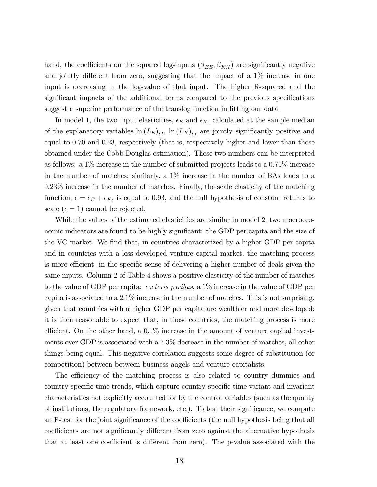hand, the coefficients on the squared log-inputs  $(\beta_{EE}, \beta_{KK})$  are significantly negative and jointly different from zero, suggesting that the impact of a  $1\%$  increase in one input is decreasing in the log-value of that input. The higher R-squared and the significant impacts of the additional terms compared to the previous specifications suggest a superior performance of the translog function in fitting our data.

In model 1, the two input elasticities,  $\epsilon_E$  and  $\epsilon_K$ , calculated at the sample median of the explanatory variables  $\ln (L_E)_{i,t}$ ,  $\ln (L_K)_{i,t}$  are jointly significantly positive and equal to 0:70 and 0:23, respectively (that is, respectively higher and lower than those obtained under the Cobb-Douglas estimation). These two numbers can be interpreted as follows: a  $1\%$  increase in the number of submitted projects leads to a 0.70% increase in the number of matches; similarly, a 1% increase in the number of BAs leads to a  $0.23\%$  increase in the number of matches. Finally, the scale elasticity of the matching function,  $\epsilon = \epsilon_E + \epsilon_K$ , is equal to 0.93, and the null hypothesis of constant returns to scale ( $\epsilon = 1$ ) cannot be rejected.

While the values of the estimated elasticities are similar in model 2, two macroeconomic indicators are found to be highly significant: the GDP per capita and the size of the VC market. We find that, in countries characterized by a higher GDP per capita and in countries with a less developed venture capital market, the matching process is more efficient -in the specific sense of delivering a higher number of deals given the same inputs. Column 2 of Table 4 shows a positive elasticity of the number of matches to the value of GDP per capita: coeteris paribus, a 1% increase in the value of GDP per capita is associated to a  $2.1\%$  increase in the number of matches. This is not surprising, given that countries with a higher GDP per capita are wealthier and more developed: it is then reasonable to expect that, in those countries, the matching process is more efficient. On the other hand, a  $0.1\%$  increase in the amount of venture capital investments over GDP is associated with a 7:3% decrease in the number of matches, all other things being equal. This negative correlation suggests some degree of substitution (or competition) between between business angels and venture capitalists.

The efficiency of the matching process is also related to country dummies and country-speciÖc time trends, which capture country-speciÖc time variant and invariant characteristics not explicitly accounted for by the control variables (such as the quality of institutions, the regulatory framework, etc.). To test their significance, we compute an F-test for the joint significance of the coefficients (the null hypothesis being that all coefficients are not significantly different from zero against the alternative hypothesis that at least one coefficient is different from zero). The p-value associated with the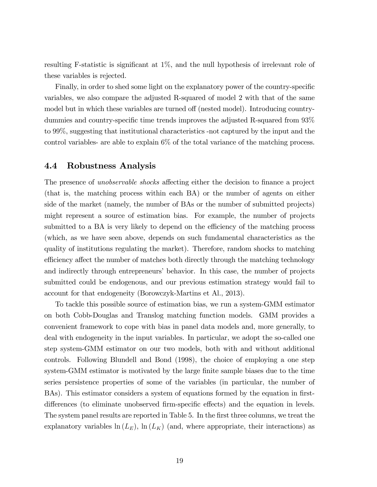resulting F-statistic is significant at 1%, and the null hypothesis of irrelevant role of these variables is rejected.

Finally, in order to shed some light on the explanatory power of the country-specific variables, we also compare the adjusted R-squared of model 2 with that of the same model but in which these variables are turned of (nested model). Introducing countrydummies and country-specific time trends improves the adjusted R-squared from 93% to 99%, suggesting that institutional characteristics -not captured by the input and the control variables- are able to explain 6% of the total variance of the matching process.

### 4.4 Robustness Analysis

The presence of *unobservable shocks* affecting either the decision to finance a project (that is, the matching process within each BA) or the number of agents on either side of the market (namely, the number of BAs or the number of submitted projects) might represent a source of estimation bias. For example, the number of projects submitted to a BA is very likely to depend on the efficiency of the matching process (which, as we have seen above, depends on such fundamental characteristics as the quality of institutions regulating the market). Therefore, random shocks to matching efficiency affect the number of matches both directly through the matching technology and indirectly through entrepreneurs' behavior. In this case, the number of projects submitted could be endogenous, and our previous estimation strategy would fail to account for that endogeneity (Borowczyk-Martins et Al., 2013).

To tackle this possible source of estimation bias, we run a system-GMM estimator on both Cobb-Douglas and Translog matching function models. GMM provides a convenient framework to cope with bias in panel data models and, more generally, to deal with endogeneity in the input variables. In particular, we adopt the so-called one step system-GMM estimator on our two models, both with and without additional controls. Following Blundell and Bond (1998), the choice of employing a one step system-GMM estimator is motivated by the large finite sample biases due to the time series persistence properties of some of the variables (in particular, the number of BAs). This estimator considers a system of equations formed by the equation in firstdifferences (to eliminate unobserved firm-specific effects) and the equation in levels. The system panel results are reported in Table 5. In the first three columns, we treat the explanatory variables  $\ln(L_E)$ ,  $\ln(L_K)$  (and, where appropriate, their interactions) as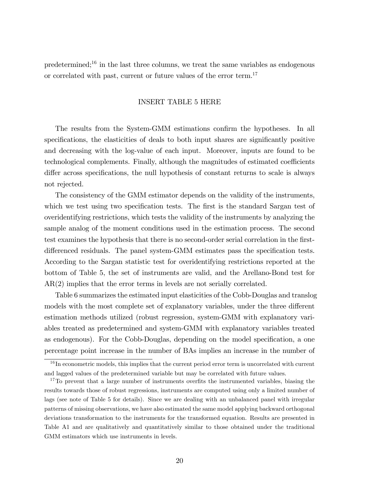predetermined;<sup>16</sup> in the last three columns, we treat the same variables as endogenous or correlated with past, current or future values of the error term.<sup>17</sup>

#### INSERT TABLE 5 HERE

The results from the System-GMM estimations confirm the hypotheses. In all specifications, the elasticities of deals to both input shares are significantly positive and decreasing with the log-value of each input. Moreover, inputs are found to be technological complements. Finally, although the magnitudes of estimated coefficients differ across specifications, the null hypothesis of constant returns to scale is always not rejected.

The consistency of the GMM estimator depends on the validity of the instruments, which we test using two specification tests. The first is the standard Sargan test of overidentifying restrictions, which tests the validity of the instruments by analyzing the sample analog of the moment conditions used in the estimation process. The second test examines the hypothesis that there is no second-order serial correlation in the firstdifferenced residuals. The panel system-GMM estimates pass the specification tests. According to the Sargan statistic test for overidentifying restrictions reported at the bottom of Table 5, the set of instruments are valid, and the Arellano-Bond test for AR(2) implies that the error terms in levels are not serially correlated.

Table 6 summarizes the estimated input elasticities of the Cobb-Douglas and translog models with the most complete set of explanatory variables, under the three different estimation methods utilized (robust regression, system-GMM with explanatory variables treated as predetermined and system-GMM with explanatory variables treated as endogenous). For the Cobb-Douglas, depending on the model specification, a one percentage point increase in the number of BAs implies an increase in the number of

 $16$  In econometric models, this implies that the current period error term is uncorrelated with current and lagged values of the predetermined variable but may be correlated with future values.

 $17$ To prevent that a large number of instruments overfits the instrumented variables, biasing the results towards those of robust regressions, instruments are computed using only a limited number of lags (see note of Table 5 for details). Since we are dealing with an unbalanced panel with irregular patterns of missing observations, we have also estimated the same model applying backward orthogonal deviations transformation to the instruments for the transformed equation. Results are presented in Table A1 and are qualitatively and quantitatively similar to those obtained under the traditional GMM estimators which use instruments in levels.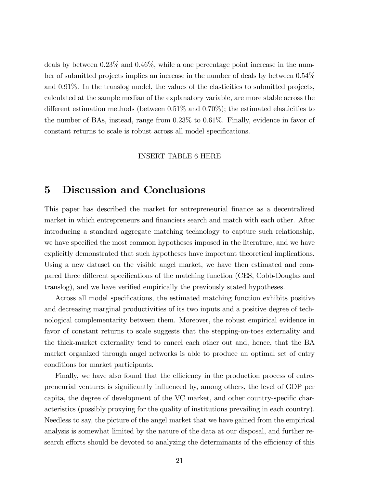deals by between 0:23% and 0:46%, while a one percentage point increase in the number of submitted projects implies an increase in the number of deals by between 0:54% and 0:91%. In the translog model, the values of the elasticities to submitted projects, calculated at the sample median of the explanatory variable, are more stable across the different estimation methods (between  $0.51\%$  and  $0.70\%$ ); the estimated elasticities to the number of BAs, instead, range from  $0.23\%$  to  $0.61\%$ . Finally, evidence in favor of constant returns to scale is robust across all model specifications.

#### INSERT TABLE 6 HERE

# 5 Discussion and Conclusions

This paper has described the market for entrepreneurial Önance as a decentralized market in which entrepreneurs and financiers search and match with each other. After introducing a standard aggregate matching technology to capture such relationship, we have specified the most common hypotheses imposed in the literature, and we have explicitly demonstrated that such hypotheses have important theoretical implications. Using a new dataset on the visible angel market, we have then estimated and compared three different specifications of the matching function (CES, Cobb-Douglas and translog), and we have verified empirically the previously stated hypotheses.

Across all model specifications, the estimated matching function exhibits positive and decreasing marginal productivities of its two inputs and a positive degree of technological complementarity between them. Moreover, the robust empirical evidence in favor of constant returns to scale suggests that the stepping-on-toes externality and the thick-market externality tend to cancel each other out and, hence, that the BA market organized through angel networks is able to produce an optimal set of entry conditions for market participants.

Finally, we have also found that the efficiency in the production process of entrepreneurial ventures is signiÖcantly ináuenced by, among others, the level of GDP per capita, the degree of development of the VC market, and other country-specific characteristics (possibly proxying for the quality of institutions prevailing in each country). Needless to say, the picture of the angel market that we have gained from the empirical analysis is somewhat limited by the nature of the data at our disposal, and further research efforts should be devoted to analyzing the determinants of the efficiency of this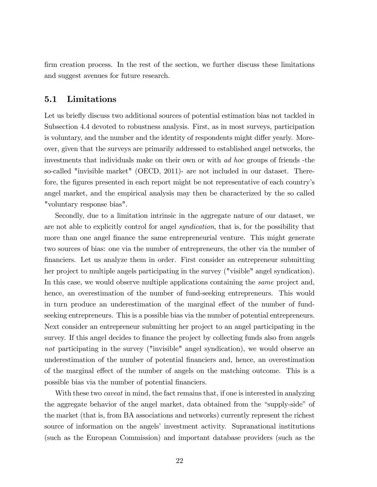firm creation process. In the rest of the section, we further discuss these limitations and suggest avenues for future research.

## 5.1 Limitations

Let us briefly discuss two additional sources of potential estimation bias not tackled in Subsection 4.4 devoted to robustness analysis. First, as in most surveys, participation is voluntary, and the number and the identity of respondents might differ yearly. Moreover, given that the surveys are primarily addressed to established angel networks, the investments that individuals make on their own or with ad hoc groups of friends -the so-called "invisible market" (OECD, 2011)- are not included in our dataset. Therefore, the figures presented in each report might be not representative of each country's angel market, and the empirical analysis may then be characterized by the so called "voluntary response bias".

Secondly, due to a limitation intrinsic in the aggregate nature of our dataset, we are not able to explicitly control for angel syndication, that is, for the possibility that more than one angel finance the same entrepreneurial venture. This might generate two sources of bias: one via the number of entrepreneurs, the other via the number of Önanciers. Let us analyze them in order. First consider an entrepreneur submitting her project to multiple angels participating in the survey ("visible" angel syndication). In this case, we would observe multiple applications containing the same project and, hence, an overestimation of the number of fund-seeking entrepreneurs. This would in turn produce an underestimation of the marginal effect of the number of fundseeking entrepreneurs. This is a possible bias via the number of potential entrepreneurs. Next consider an entrepreneur submitting her project to an angel participating in the survey. If this angel decides to finance the project by collecting funds also from angels not participating in the survey ("invisible" angel syndication), we would observe an underestimation of the number of potential Önanciers and, hence, an overestimation of the marginal effect of the number of angels on the matching outcome. This is a possible bias via the number of potential financiers.

With these two *caveat* in mind, the fact remains that, if one is interested in analyzing the aggregate behavior of the angel market, data obtained from the "supply-side" of the market (that is, from BA associations and networks) currently represent the richest source of information on the angels' investment activity. Supranational institutions (such as the European Commission) and important database providers (such as the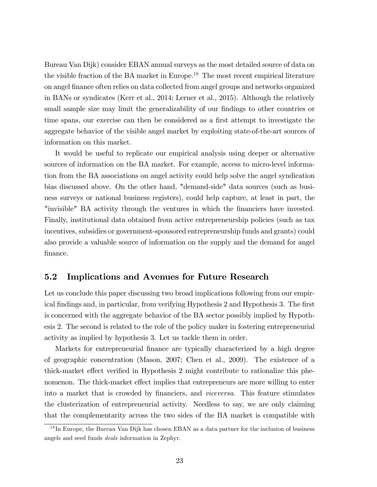Bureau Van Dijk) consider EBAN annual surveys as the most detailed source of data on the visible fraction of the BA market in Europe.<sup>18</sup> The most recent empirical literature on angel Önance often relies on data collected from angel groups and networks organized in BANs or syndicates (Kerr et al., 2014; Lerner et al., 2015). Although the relatively small sample size may limit the generalizability of our findings to other countries or time spans, our exercise can then be considered as a first attempt to investigate the aggregate behavior of the visible angel market by exploiting state-of-the-art sources of information on this market.

It would be useful to replicate our empirical analysis using deeper or alternative sources of information on the BA market. For example, access to micro-level information from the BA associations on angel activity could help solve the angel syndication bias discussed above. On the other hand, "demand-side" data sources (such as business surveys or national business registers), could help capture, at least in part, the "invisible" BA activity through the ventures in which the financiers have invested. Finally, institutional data obtained from active entrepreneurship policies (such as tax incentives, subsidies or government-sponsored entrepreneurship funds and grants) could also provide a valuable source of information on the supply and the demand for angel finance.

### 5.2 Implications and Avenues for Future Research

Let us conclude this paper discussing two broad implications following from our empirical findings and, in particular, from verifying Hypothesis 2 and Hypothesis 3. The first is concerned with the aggregate behavior of the BA sector possibly implied by Hypothesis 2. The second is related to the role of the policy maker in fostering entrepreneurial activity as implied by hypothesis 3. Let us tackle them in order.

Markets for entrepreneurial Önance are typically characterized by a high degree of geographic concentration (Mason, 2007; Chen et al., 2009). The existence of a thick-market effect verified in Hypothesis 2 might contribute to rationalize this phenomenon. The thick-market effect implies that entrepreneurs are more willing to enter into a market that is crowded by financiers, and *viceversa*. This feature stimulates the clusterization of entrepreneurial activity. Needless to say, we are only claiming that the complementarity across the two sides of the BA market is compatible with

<sup>&</sup>lt;sup>18</sup>In Europe, the Bureau Van Dijk has chosen EBAN as a data partner for the inclusion of business angels and seed funds deals information in Zephyr.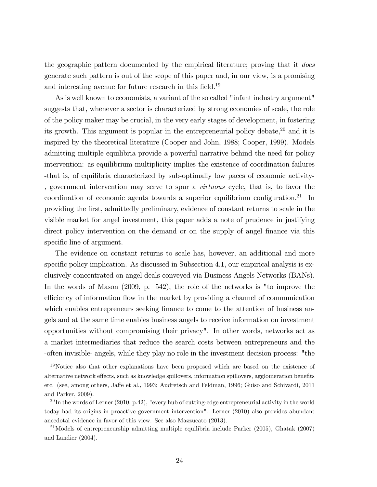the geographic pattern documented by the empirical literature; proving that it does generate such pattern is out of the scope of this paper and, in our view, is a promising and interesting avenue for future research in this field.<sup>19</sup>

As is well known to economists, a variant of the so called "infant industry argument" suggests that, whenever a sector is characterized by strong economies of scale, the role of the policy maker may be crucial, in the very early stages of development, in fostering its growth. This argument is popular in the entrepreneurial policy debate,  $20$  and it is inspired by the theoretical literature (Cooper and John, 1988; Cooper, 1999). Models admitting multiple equilibria provide a powerful narrative behind the need for policy intervention: as equilibrium multiplicity implies the existence of coordination failures -that is, of equilibria characterized by sub-optimally low paces of economic activity- , government intervention may serve to spur a virtuous cycle, that is, to favor the coordination of economic agents towards a superior equilibrium configuration.<sup>21</sup> In providing the Örst, admittedly preliminary, evidence of constant returns to scale in the visible market for angel investment, this paper adds a note of prudence in justifying direct policy intervention on the demand or on the supply of angel finance via this specific line of argument.

The evidence on constant returns to scale has, however, an additional and more specific policy implication. As discussed in Subsection 4.1, our empirical analysis is exclusively concentrated on angel deals conveyed via Business Angels Networks (BANs). In the words of Mason (2009, p. 542), the role of the networks is "to improve the efficiency of information flow in the market by providing a channel of communication which enables entrepreneurs seeking finance to come to the attention of business angels and at the same time enables business angels to receive information on investment opportunities without compromising their privacy". In other words, networks act as a market intermediaries that reduce the search costs between entrepreneurs and the -often invisible- angels, while they play no role in the investment decision process: "the

<sup>&</sup>lt;sup>19</sup>Notice also that other explanations have been proposed which are based on the existence of alternative network effects, such as knowledge spillovers, information spillovers, agglomeration benefits etc. (see, among others, Jaffe et al., 1993; Audretsch and Feldman, 1996; Guiso and Schivardi, 2011 and Parker, 2009).

 $^{20}$ In the words of Lerner (2010, p.42), "every hub of cutting-edge entrepreneurial activity in the world today had its origins in proactive government intervention". Lerner (2010) also provides abundant anecdotal evidence in favor of this view. See also Mazzucato (2013).

<sup>21</sup>Models of entrepreneurship admitting multiple equilibria include Parker (2005), Ghatak (2007) and Landier (2004).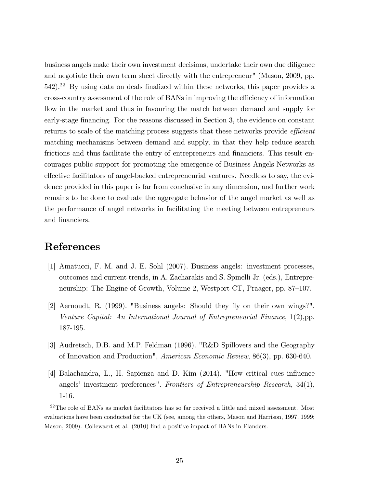business angels make their own investment decisions, undertake their own due diligence and negotiate their own term sheet directly with the entrepreneur" (Mason, 2009, pp.  $542$ ).<sup>22</sup> By using data on deals finalized within these networks, this paper provides a cross-country assessment of the role of BANs in improving the efficiency of information flow in the market and thus in favouring the match between demand and supply for early-stage financing. For the reasons discussed in Section 3, the evidence on constant returns to scale of the matching process suggests that these networks provide *efficient* matching mechanisms between demand and supply, in that they help reduce search frictions and thus facilitate the entry of entrepreneurs and financiers. This result encourages public support for promoting the emergence of Business Angels Networks as effective facilitators of angel-backed entrepreneurial ventures. Needless to say, the evidence provided in this paper is far from conclusive in any dimension, and further work remains to be done to evaluate the aggregate behavior of the angel market as well as the performance of angel networks in facilitating the meeting between entrepreneurs and financiers.

# References

- [1] Amatucci, F. M. and J. E. Sohl (2007). Business angels: investment processes, outcomes and current trends, in A. Zacharakis and S. Spinelli Jr. (eds.), Entrepreneurship: The Engine of Growth, Volume 2, Westport CT, Praager, pp. 87–107.
- [2] Aernoudt, R. (1999). "Business angels: Should they áy on their own wings?". Venture Capital: An International Journal of Entrepreneurial Finance, 1(2),pp. 187-195.
- [3] Audretsch, D.B. and M.P. Feldman (1996). "R&D Spillovers and the Geography of Innovation and Production", American Economic Review, 86(3), pp. 630-640.
- [4] Balachandra, L., H. Sapienza and D. Kim (2014). "How critical cues ináuence angels' investment preferences". Frontiers of Entrepreneurship Research,  $34(1)$ , 1-16.

<sup>&</sup>lt;sup>22</sup>The role of BANs as market facilitators has so far received a little and mixed assessment. Most evaluations have been conducted for the UK (see, among the others, Mason and Harrison, 1997, 1999; Mason, 2009). Collewaert et al. (2010) find a positive impact of BANs in Flanders.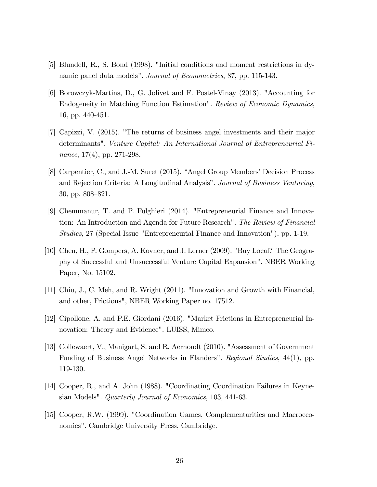- [5] Blundell, R., S. Bond (1998). "Initial conditions and moment restrictions in dynamic panel data models". Journal of Econometrics, 87, pp. 115-143.
- [6] Borowczyk-Martins, D., G. Jolivet and F. Postel-Vinay (2013). "Accounting for Endogeneity in Matching Function Estimation". Review of Economic Dynamics, 16, pp. 440-451.
- [7] Capizzi, V. (2015). "The returns of business angel investments and their major determinants". Venture Capital: An International Journal of Entrepreneurial Finance, 17(4), pp. 271-298.
- [8] Carpentier, C., and J.-M. Suret (2015). "Angel Group Members' Decision Process and Rejection Criteria: A Longitudinal Analysis". Journal of Business Venturing, 30, pp. 808-821.
- [9] Chemmanur, T. and P. Fulghieri (2014). "Entrepreneurial Finance and Innovation: An Introduction and Agenda for Future Research". The Review of Financial Studies, 27 (Special Issue "Entrepreneurial Finance and Innovation"), pp. 1-19.
- [10] Chen, H., P. Gompers, A. Kovner, and J. Lerner (2009). "Buy Local? The Geography of Successful and Unsuccessful Venture Capital Expansion". NBER Working Paper, No. 15102.
- [11] Chiu, J., C. Meh, and R. Wright (2011). "Innovation and Growth with Financial, and other, Frictions", NBER Working Paper no. 17512.
- [12] Cipollone, A. and P.E. Giordani (2016). "Market Frictions in Entrepreneurial Innovation: Theory and Evidence". LUISS, Mimeo.
- [13] Collewaert, V., Manigart, S. and R. Aernoudt (2010). "Assessment of Government Funding of Business Angel Networks in Flanders". Regional Studies, 44(1), pp. 119-130.
- [14] Cooper, R., and A. John (1988). "Coordinating Coordination Failures in Keynesian Models". Quarterly Journal of Economics, 103, 441-63.
- [15] Cooper, R.W. (1999). "Coordination Games, Complementarities and Macroeconomics". Cambridge University Press, Cambridge.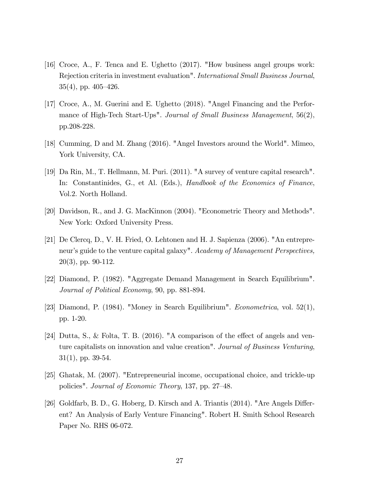- [16] Croce, A., F. Tenca and E. Ughetto (2017). "How business angel groups work: Rejection criteria in investment evaluation". International Small Business Journal,  $35(4)$ , pp.  $405-426$ .
- [17] Croce, A., M. Guerini and E. Ughetto (2018). "Angel Financing and the Performance of High-Tech Start-Ups". Journal of Small Business Management, 56(2), pp.208-228.
- [18] Cumming, D and M. Zhang (2016). "Angel Investors around the World". Mimeo, York University, CA.
- [19] Da Rin, M., T. Hellmann, M. Puri. (2011). "A survey of venture capital research". In: Constantinides, G., et Al. (Eds.), *Handbook of the Economics of Finance*, Vol.2. North Holland.
- [20] Davidson, R., and J. G. MacKinnon (2004). "Econometric Theory and Methods". New York: Oxford University Press.
- [21] De Clercq, D., V. H. Fried, O. Lehtonen and H. J. Sapienza (2006). "An entrepreneur's guide to the venture capital galaxy". Academy of Management Perspectives, 20(3), pp. 90-112.
- [22] Diamond, P. (1982). "Aggregate Demand Management in Search Equilibrium". Journal of Political Economy, 90, pp. 881-894.
- [23] Diamond, P. (1984). "Money in Search Equilibrium". Econometrica, vol. 52(1), pp. 1-20.
- [24] Dutta, S., & Folta, T. B. (2016). "A comparison of the effect of angels and venture capitalists on innovation and value creation". Journal of Business Venturing,  $31(1)$ , pp.  $39-54$ .
- [25] Ghatak, M. (2007). "Entrepreneurial income, occupational choice, and trickle-up policies". Journal of Economic Theory, 137, pp. 27–48.
- [26] Goldfarb, B. D., G. Hoberg, D. Kirsch and A. Triantis  $(2014)$ . "Are Angels Different? An Analysis of Early Venture Financing". Robert H. Smith School Research Paper No. RHS 06-072.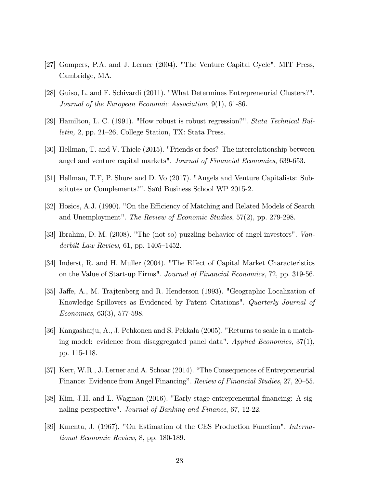- [27] Gompers, P.A. and J. Lerner (2004). "The Venture Capital Cycle". MIT Press, Cambridge, MA.
- [28] Guiso, L. and F. Schivardi (2011). "What Determines Entrepreneurial Clusters?". Journal of the European Economic Association, 9(1), 61-86.
- [29] Hamilton, L. C. (1991). "How robust is robust regression?". Stata Technical Bul*letin*, 2, pp. 21–26, College Station, TX: Stata Press.
- [30] Hellman, T. and V. Thiele (2015). "Friends or foes? The interrelationship between angel and venture capital markets". Journal of Financial Economics, 639-653.
- [31] Hellman, T.F, P. Shure and D. Vo (2017). "Angels and Venture Capitalists: Substitutes or Complements?". Saïd Business School WP 2015-2.
- [32] Hosios, A.J. (1990). "On the Efficiency of Matching and Related Models of Search and Unemployment". The Review of Economic Studies, 57(2), pp. 279-298.
- [33] Ibrahim, D. M. (2008). "The (not so) puzzling behavior of angel investors". Vanderbilt Law Review, 61, pp.  $1405-1452$ .
- [34] Inderst, R. and H. Muller (2004). "The Effect of Capital Market Characteristics on the Value of Start-up Firms". Journal of Financial Economics, 72, pp. 319-56.
- [35] Jaffe, A., M. Trajtenberg and R. Henderson (1993). "Geographic Localization of Knowledge Spillovers as Evidenced by Patent Citations". Quarterly Journal of Economics, 63(3), 577-598.
- [36] Kangasharju, A., J. Pehkonen and S. Pekkala (2005). "Returns to scale in a matching model: evidence from disaggregated panel data". Applied Economics,  $37(1)$ , pp. 115-118.
- [37] Kerr, W.R., J. Lerner and A. Schoar (2014). "The Consequences of Entrepreneurial Finance: Evidence from Angel Financing". Review of Financial Studies, 27, 20–55.
- [38] Kim, J.H. and L. Wagman (2016). "Early-stage entrepreneurial financing: A signaling perspective". Journal of Banking and Finance, 67, 12-22.
- [39] Kmenta, J. (1967). "On Estimation of the CES Production Function". International Economic Review, 8, pp. 180-189.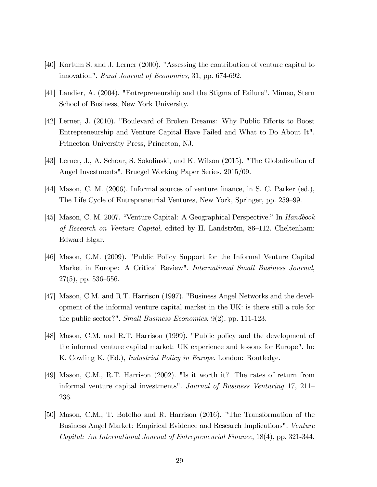- [40] Kortum S. and J. Lerner (2000). "Assessing the contribution of venture capital to innovation". Rand Journal of Economics, 31, pp. 674-692.
- [41] Landier, A. (2004). "Entrepreneurship and the Stigma of Failure". Mimeo, Stern School of Business, New York University.
- [42] Lerner, J. (2010). "Boulevard of Broken Dreams: Why Public Efforts to Boost Entrepreneurship and Venture Capital Have Failed and What to Do About It". Princeton University Press, Princeton, NJ.
- [43] Lerner, J., A. Schoar, S. Sokolinski, and K. Wilson (2015). "The Globalization of Angel Investments". Bruegel Working Paper Series, 2015/09.
- [44] Mason, C. M. (2006). Informal sources of venture finance, in S. C. Parker (ed.), The Life Cycle of Entrepreneurial Ventures, New York, Springer, pp. 259–99.
- [45] Mason, C. M. 2007. "Venture Capital: A Geographical Perspective." In Handbook of Research on Venture Capital, edited by H. Landström,  $86-112$ . Cheltenham: Edward Elgar.
- [46] Mason, C.M. (2009). "Public Policy Support for the Informal Venture Capital Market in Europe: A Critical Review". International Small Business Journal,  $27(5)$ , pp. 536–556.
- [47] Mason, C.M. and R.T. Harrison (1997). "Business Angel Networks and the development of the informal venture capital market in the UK: is there still a role for the public sector?". Small Business Economics, 9(2), pp. 111-123.
- [48] Mason, C.M. and R.T. Harrison (1999). "Public policy and the development of the informal venture capital market: UK experience and lessons for Europe". In: K. Cowling K. (Ed.), Industrial Policy in Europe. London: Routledge.
- [49] Mason, C.M., R.T. Harrison (2002). "Is it worth it? The rates of return from informal venture capital investments". Journal of Business Venturing  $17, 211-$ 236.
- [50] Mason, C.M., T. Botelho and R. Harrison (2016). "The Transformation of the Business Angel Market: Empirical Evidence and Research Implications". Venture Capital: An International Journal of Entrepreneurial Finance, 18(4), pp. 321-344.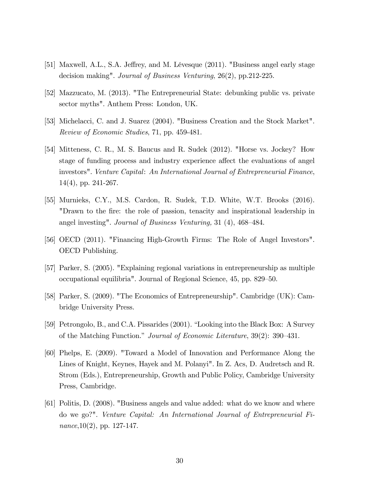- [51] Maxwell, A.L., S.A. Jeffrey, and M. Lévesque (2011). "Business angel early stage decision making". Journal of Business Venturing, 26(2), pp.212-225.
- [52] Mazzucato, M. (2013). "The Entrepreneurial State: debunking public vs. private sector myths". Anthem Press: London, UK.
- [53] Michelacci, C. and J. Suarez (2004). "Business Creation and the Stock Market". Review of Economic Studies, 71, pp. 459-481.
- [54] Mitteness, C. R., M. S. Baucus and R. Sudek (2012). "Horse vs. Jockey? How stage of funding process and industry experience affect the evaluations of angel investors". Venture Capital: An International Journal of Entrepreneurial Finance, 14(4), pp. 241-267.
- [55] Murnieks, C.Y., M.S. Cardon, R. Sudek, T.D. White, W.T. Brooks (2016). "Drawn to the fire: the role of passion, tenacity and inspirational leadership in angel investing". Journal of Business Venturing,  $31$  (4),  $468-484$ .
- [56] OECD (2011). "Financing High-Growth Firms: The Role of Angel Investors". OECD Publishing.
- [57] Parker, S. (2005). "Explaining regional variations in entrepreneurship as multiple occupational equilibria". Journal of Regional Science, 45, pp. 829–50.
- [58] Parker, S. (2009). "The Economics of Entrepreneurship". Cambridge (UK): Cambridge University Press.
- [59] Petrongolo, B., and C.A. Pissarides (2001). "Looking into the Black Box: A Survey of the Matching Function." Journal of Economic Literature,  $39(2)$ : 390–431.
- [60] Phelps, E. (2009). "Toward a Model of Innovation and Performance Along the Lines of Knight, Keynes, Hayek and M. Polanyi". In Z. Acs, D. Audretsch and R. Strom (Eds.), Entrepreneurship, Growth and Public Policy, Cambridge University Press, Cambridge.
- [61] Politis, D. (2008). "Business angels and value added: what do we know and where do we go?". Venture Capital: An International Journal of Entrepreneurial Finance,  $10(2)$ , pp. 127-147.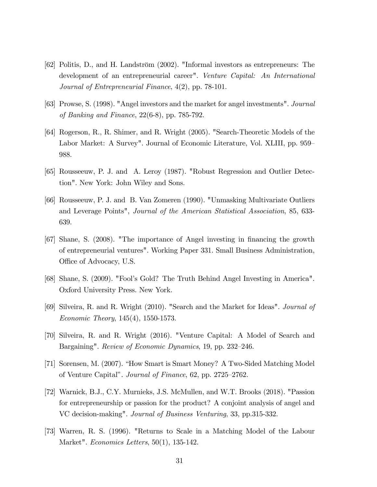- [62] Politis, D., and H. Landström (2002). "Informal investors as entrepreneurs: The development of an entrepreneurial career". Venture Capital: An International Journal of Entrepreneurial Finance, 4(2), pp. 78-101.
- [63] Prowse, S. (1998). "Angel investors and the market for angel investments". Journal of Banking and Finance, 22(6-8), pp. 785-792.
- [64] Rogerson, R., R. Shimer, and R. Wright (2005). "Search-Theoretic Models of the Labor Market: A Survey". Journal of Economic Literature, Vol. XLIII, pp. 959– 988.
- [65] Rousseeuw, P. J. and A. Leroy (1987). "Robust Regression and Outlier Detection". New York: John Wiley and Sons.
- [66] Rousseeuw, P. J. and B. Van Zomeren (1990). "Unmasking Multivariate Outliers and Leverage Points", Journal of the American Statistical Association, 85, 633- 639.
- [67] Shane, S. (2008). "The importance of Angel investing in Önancing the growth of entrepreneurial ventures". Working Paper 331. Small Business Administration, Office of Advocacy, U.S.
- [68] Shane, S. (2009). "Foolís Gold? The Truth Behind Angel Investing in America". Oxford University Press. New York.
- [69] Silveira, R. and R. Wright (2010). "Search and the Market for Ideas". Journal of Economic Theory, 145(4), 1550-1573.
- [70] Silveira, R. and R. Wright (2016). "Venture Capital: A Model of Search and Bargaining". Review of Economic Dynamics, 19, pp. 232–246.
- [71] Sorensen, M. (2007). "How Smart is Smart Money? A Two-Sided Matching Model of Venture Capital". Journal of Finance, 62, pp. 2725–2762.
- [72] Warnick, B.J., C.Y. Murnieks, J.S. McMullen, and W.T. Brooks (2018). "Passion for entrepreneurship or passion for the product? A conjoint analysis of angel and VC decision-making". Journal of Business Venturing, 33, pp.315-332.
- [73] Warren, R. S. (1996). "Returns to Scale in a Matching Model of the Labour Market". Economics Letters, 50(1), 135-142.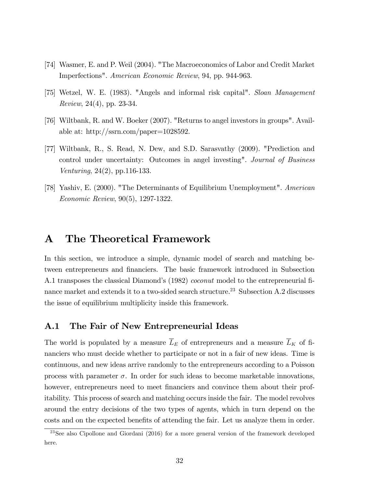- [74] Wasmer, E. and P. Weil (2004). "The Macroeconomics of Labor and Credit Market Imperfections". American Economic Review, 94, pp. 944-963.
- [75] Wetzel, W. E. (1983). "Angels and informal risk capital". Sloan Management Review, 24(4), pp. 23-34.
- [76] Wiltbank, R. and W. Boeker (2007). "Returns to angel investors in groups". Available at: http://ssrn.com/paper=1028592.
- [77] Wiltbank, R., S. Read, N. Dew, and S.D. Sarasvathy (2009). "Prediction and control under uncertainty: Outcomes in angel investing". Journal of Business Venturing, 24(2), pp.116-133.
- [78] Yashiv, E. (2000). "The Determinants of Equilibrium Unemployment". American Economic Review, 90(5), 1297-1322.

# A The Theoretical Framework

In this section, we introduce a simple, dynamic model of search and matching between entrepreneurs and Önanciers. The basic framework introduced in Subsection A.1 transposes the classical Diamond's (1982) *coconut* model to the entrepreneurial finance market and extends it to a two-sided search structure.<sup>23</sup> Subsection A.2 discusses the issue of equilibrium multiplicity inside this framework.

### A.1 The Fair of New Entrepreneurial Ideas

The world is populated by a measure  $\overline{L}_E$  of entrepreneurs and a measure  $\overline{L}_K$  of financiers who must decide whether to participate or not in a fair of new ideas. Time is continuous, and new ideas arrive randomly to the entrepreneurs according to a Poisson process with parameter  $\sigma$ . In order for such ideas to become marketable innovations, however, entrepreneurs need to meet financiers and convince them about their profitability. This process of search and matching occurs inside the fair. The model revolves around the entry decisions of the two types of agents, which in turn depend on the costs and on the expected benefits of attending the fair. Let us analyze them in order.

 $^{23}$ See also Cipollone and Giordani (2016) for a more general version of the framework developed here.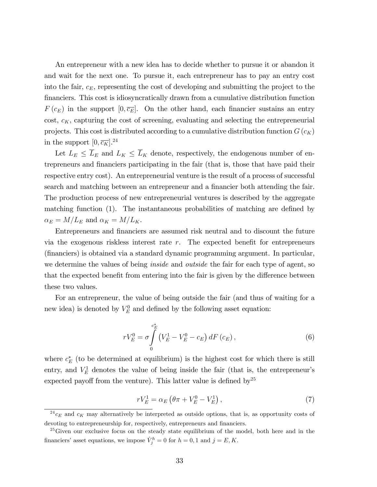An entrepreneur with a new idea has to decide whether to pursue it or abandon it and wait for the next one. To pursue it, each entrepreneur has to pay an entry cost into the fair,  $c_E$ , representing the cost of developing and submitting the project to the financiers. This cost is idiosyncratically drawn from a cumulative distribution function  $F(c_E)$  in the support  $[0, \overline{c_E}]$ . On the other hand, each financier sustains an entry cost,  $c_K$ , capturing the cost of screening, evaluating and selecting the entrepreneurial projects. This cost is distributed according to a cumulative distribution function  $G(c_K)$ in the support  $[0, \overline{c_K}]$ .<sup>24</sup>

Let  $L_E \leq \overline{L}_E$  and  $L_K \leq \overline{L}_K$  denote, respectively, the endogenous number of entrepreneurs and Önanciers participating in the fair (that is, those that have paid their respective entry cost). An entrepreneurial venture is the result of a process of successful search and matching between an entrepreneur and a financier both attending the fair. The production process of new entrepreneurial ventures is described by the aggregate matching function  $(1)$ . The instantaneous probabilities of matching are defined by  $\alpha_E = M/L_E$  and  $\alpha_K = M/L_K$ .

Entrepreneurs and Önanciers are assumed risk neutral and to discount the future via the exogenous riskless interest rate  $r$ . The expected benefit for entrepreneurs (Önanciers) is obtained via a standard dynamic programming argument. In particular, we determine the values of being *inside* and *outside* the fair for each type of agent, so that the expected benefit from entering into the fair is given by the difference between these two values.

For an entrepreneur, the value of being outside the fair (and thus of waiting for a new idea) is denoted by  $V_E^0$  and defined by the following asset equation:

$$
rV_E^0 = \sigma \int\limits_0^{c_E^*} \left( V_E^1 - V_E^0 - c_E \right) dF \left( c_E \right), \tag{6}
$$

where  $c_E^*$  (to be determined at equilibrium) is the highest cost for which there is still entry, and  $V_E^1$  denotes the value of being inside the fair (that is, the entrepreneur's expected payoff from the venture). This latter value is defined by<sup>25</sup>

$$
rV_E^1 = \alpha_E \left(\theta \pi + V_E^0 - V_E^1\right),\tag{7}
$$

 $^{24}c_E$  and  $c_K$  may alternatively be interpreted as outside options, that is, as opportunity costs of devoting to entrepreneurship for, respectively, entrepreneurs and financiers.

 $^{25}$ Given our exclusive focus on the steady state equilibrium of the model, both here and in the financiers' asset equations, we impose  $\dot{V}_j^h = 0$  for  $h = 0, 1$  and  $j = E, K$ .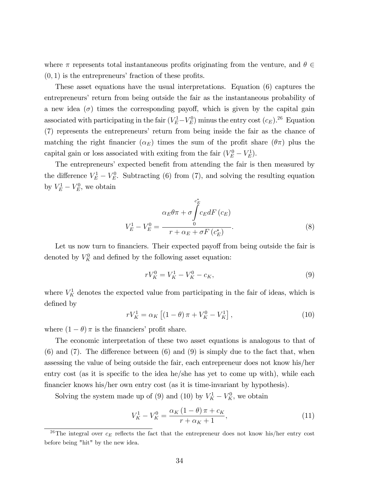where  $\pi$  represents total instantaneous profits originating from the venture, and  $\theta \in$  $(0, 1)$  is the entrepreneurs' fraction of these profits.

These asset equations have the usual interpretations. Equation (6) captures the entrepreneurs' return from being outside the fair as the instantaneous probability of a new idea ( $\sigma$ ) times the corresponding payoff, which is given by the capital gain associated with participating in the fair  $(V_E^1 - V_E^0)$  minus the entry cost  $(c_E)^{26}$  Equation (7) represents the entrepreneurs' return from being inside the fair as the chance of matching the right financier  $(\alpha_E)$  times the sum of the profit share  $(\theta \pi)$  plus the capital gain or loss associated with exiting from the fair  $(V_E^0 - V_E^1)$ .

The entrepreneurs' expected benefit from attending the fair is then measured by the difference  $V_E^1 - V_E^0$ . Subtracting (6) from (7), and solving the resulting equation by  $V_E^1 - V_E^0$ , we obtain

$$
\alpha_E \theta \pi + \sigma \int_{E}^{c_E^*} c_E dF \left( c_E \right)
$$

$$
V_E^1 - V_E^0 = \frac{0}{r + \alpha_E + \sigma F \left( c_E^* \right)}.
$$
(8)

Let us now turn to financiers. Their expected payoff from being outside the fair is denoted by  $V_K^0$  and defined by the following asset equation:

$$
rV_K^0 = V_K^1 - V_K^0 - c_K,\t\t(9)
$$

where  $V_K^1$  denotes the expected value from participating in the fair of ideas, which is defined by

$$
rV_K^1 = \alpha_K \left[ (1 - \theta) \pi + V_K^0 - V_K^1 \right],
$$
\n(10)

where  $(1 - \theta) \pi$  is the financiers' profit share.

The economic interpretation of these two asset equations is analogous to that of  $(6)$  and  $(7)$ . The difference between  $(6)$  and  $(9)$  is simply due to the fact that, when assessing the value of being outside the fair, each entrepreneur does not know his/her entry cost (as it is specific to the idea he/she has yet to come up with), while each financier knows his/her own entry cost (as it is time-invariant by hypothesis).

Solving the system made up of (9) and (10) by  $V_K^1 - V_K^0$ , we obtain

$$
V_K^1 - V_K^0 = \frac{\alpha_K (1 - \theta) \pi + c_K}{r + \alpha_K + 1},
$$
\n(11)

<sup>&</sup>lt;sup>26</sup>The integral over  $c_E$  reflects the fact that the entrepreneur does not know his/her entry cost before being "hit" by the new idea.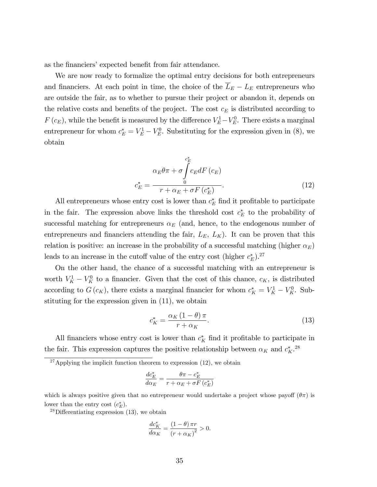as the financiers' expected benefit from fair attendance.

We are now ready to formalize the optimal entry decisions for both entrepreneurs and financiers. At each point in time, the choice of the  $\overline{L}_E - L_E$  entrepreneurs who are outside the fair, as to whether to pursue their project or abandon it, depends on the relative costs and benefits of the project. The cost  $c_E$  is distributed according to  $F(c_E)$ , while the benefit is measured by the difference  $V_E^1 - V_E^0$ . There exists a marginal entrepreneur for whom  $c_E^* = V_E^1 - V_E^0$ . Substituting for the expression given in (8), we obtain

$$
c_E^* = \frac{\alpha_E \theta \pi + \sigma \int_{c_E}^{c_E^*} c_E dF(c_E)}{r + \alpha_E + \sigma F(c_E^*)}.
$$
\n(12)

All entrepreneurs whose entry cost is lower than  $c_E^*$  find it profitable to participate in the fair. The expression above links the threshold cost  $c_E^*$  to the probability of successful matching for entrepreneurs  $\alpha_E$  (and, hence, to the endogenous number of entrepreneurs and financiers attending the fair,  $L_E$ ,  $L_K$ ). It can be proven that this relation is positive: an increase in the probability of a successful matching (higher  $\alpha_E$ ) leads to an increase in the cutoff value of the entry cost (higher  $c_E^*$ ).<sup>27</sup>

On the other hand, the chance of a successful matching with an entrepreneur is worth  $V_K^1 - V_K^0$  to a financier. Given that the cost of this chance,  $c_K$ , is distributed according to  $G(c_K)$ , there exists a marginal financier for whom  $c_K^* = V_K^1 - V_K^0$ . Substituting for the expression given in (11), we obtain

$$
c_K^* = \frac{\alpha_K \left(1 - \theta\right) \pi}{r + \alpha_K}.\tag{13}
$$

All financiers whose entry cost is lower than  $c_K^*$  find it profitable to participate in the fair. This expression captures the positive relationship between  $\alpha_K$  and  $c_K^*$ .<sup>28</sup>

$$
\frac{dc_E^*}{d\alpha_E} = \frac{\theta \pi - c_E^*}{r + \alpha_E + \sigma F(c_E^*)}
$$

which is always positive given that no entrepreneur would undertake a project whose payoff  $(\theta \pi)$  is lower than the entry cost  $(c_E^*)$ .

$$
\frac{dc_K^*}{d\alpha_K} = \frac{(1-\theta)\pi r}{(r+\alpha_K)^2} > 0.
$$

 $^{27}$ Applying the implicit function theorem to expression (12), we obtain

 $28$ Differentiating expression (13), we obtain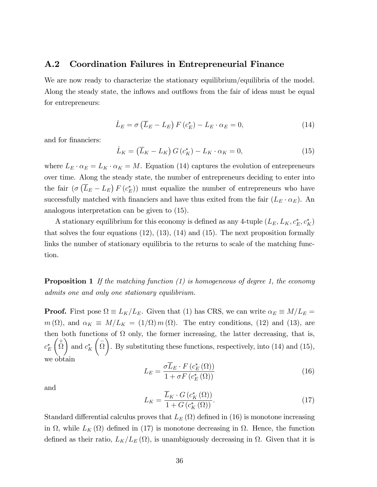### A.2 Coordination Failures in Entrepreneurial Finance

We are now ready to characterize the stationary equilibrium/equilibria of the model. Along the steady state, the inflows and outflows from the fair of ideas must be equal for entrepreneurs:

$$
\dot{L}_E = \sigma \left( \overline{L}_E - L_E \right) F \left( c_E^* \right) - L_E \cdot \alpha_E = 0, \tag{14}
$$

and for financiers:

$$
\dot{L}_K = (\overline{L}_K - L_K) G (c_K^*) - L_K \cdot \alpha_K = 0, \qquad (15)
$$

where  $L_E \cdot \alpha_E = L_K \cdot \alpha_K = M$ . Equation (14) captures the evolution of entrepreneurs over time. Along the steady state, the number of entrepreneurs deciding to enter into the fair  $(\sigma(\overline{L}_E - L_E) F(c_E^*))$  must equalize the number of entrepreneurs who have successfully matched with financiers and have thus exited from the fair  $(L_E \cdot \alpha_E)$ . An analogous interpretation can be given to (15).

A stationary equilibrium for this economy is defined as any 4-tuple  $(L_E, L_K, c_E^*, c_K^*)$ that solves the four equations  $(12)$ ,  $(13)$ ,  $(14)$  and  $(15)$ . The next proposition formally links the number of stationary equilibria to the returns to scale of the matching function.

**Proposition 1** If the matching function  $(1)$  is homogeneous of degree 1, the economy admits one and only one stationary equilibrium.

**Proof.** First pose  $\Omega \equiv L_K/L_E$ . Given that (1) has CRS, we can write  $\alpha_E \equiv M/L_E$  =  $m(\Omega)$ , and  $\alpha_K \equiv M/L_K = (1/\Omega) m(\Omega)$ . The entry conditions, (12) and (13), are then both functions of  $\Omega$  only, the former increasing, the latter decreasing, that is,  $c_E^*$  $/$  $\Omega$  $\setminus$ and  $c_K^*$  $\sqrt{2}$  $\Omega$  $\setminus$ . By substituting these functions, respectively, into (14) and (15), we obtain

$$
L_E = \frac{\sigma \overline{L}_E \cdot F\left(c_E^*\left(\Omega\right)\right)}{1 + \sigma F\left(c_E^*\left(\Omega\right)\right)}\tag{16}
$$

and

$$
L_K = \frac{\overline{L}_K \cdot G\left(c_K^*\left(\Omega\right)\right)}{1 + G\left(c_K^*\left(\Omega\right)\right)}.\tag{17}
$$

Standard differential calculus proves that  $L_E(\Omega)$  defined in (16) is monotone increasing in  $\Omega$ , while  $L_K(\Omega)$  defined in (17) is monotone decreasing in  $\Omega$ . Hence, the function defined as their ratio,  $L_K/L_E(\Omega)$ , is unambiguously decreasing in  $\Omega$ . Given that it is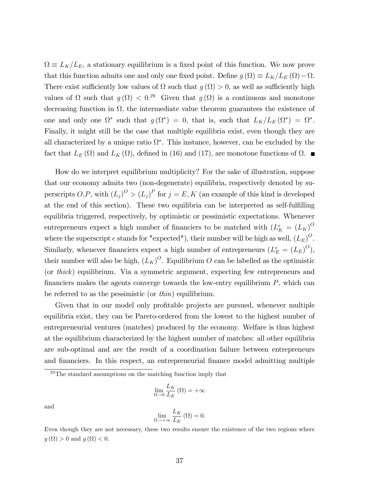$\Omega \equiv L_K/L_E$ , a stationary equilibrium is a fixed point of this function. We now prove that this function admits one and only one fixed point. Define  $g(\Omega) \equiv L_K/L_E(\Omega) - \Omega$ . There exist sufficiently low values of  $\Omega$  such that  $g(\Omega) > 0$ , as well as sufficiently high values of  $\Omega$  such that  $g(\Omega) < 0^{29}$  Given that  $g(\Omega)$  is a continuous and monotone decreasing function in  $\Omega$ , the intermediate value theorem guarantees the existence of one and only one  $\Omega^*$  such that  $g(\Omega^*) = 0$ , that is, such that  $L_K/L_E(\Omega^*) = \Omega^*$ . Finally, it might still be the case that multiple equilibria exist, even though they are all characterized by a unique ratio  $\Omega^*$ . This instance, however, can be excluded by the fact that  $L_E(\Omega)$  and  $L_K(\Omega)$ , defined in (16) and (17), are monotone functions of  $\Omega$ .

How do we interpret equilibrium multiplicity? For the sake of illustration, suppose that our economy admits two (non-degenerate) equilibria, respectively denoted by superscripts  $O, P$ , with  $(L_j)^O > (L_j)^P$  for  $j = E, K$  (an example of this kind is developed at the end of this section). These two equilibria can be interpreted as self-fulfilling equilibria triggered, respectively, by optimistic or pessimistic expectations. Whenever entrepreneurs expect a high number of financiers to be matched with  $(L_K^e = (L_K)^O)$ where the superscript e stands for "expected"), their number will be high as well,  $(L_E)^O$ . Similarly, whenever financiers expect a high number of entrepreneurs  $(L_E^e = (L_E)^O)$ , their number will also be high,  $(L_K)^O$ . Equilibrium O can be labelled as the optimistic (or thick) equilibrium. Via a symmetric argument, expecting few entrepreneurs and financiers makes the agents converge towards the low-entry equilibrium  $P$ , which can be referred to as the pessimistic (or thin) equilibrium.

Given that in our model only profitable projects are pursued, whenever multiple equilibria exist, they can be Pareto-ordered from the lowest to the highest number of entrepreneurial ventures (matches) produced by the economy. Welfare is thus highest at the equilibrium characterized by the highest number of matches: all other equilibria are sub-optimal and are the result of a coordination failure between entrepreneurs and financiers. In this respect, an entrepreneurial finance model admitting multiple

$$
\lim_{\Omega \to 0} \frac{L_K}{L_E} (\Omega) = +\infty
$$

and

$$
\lim_{\Omega \to +\infty} \frac{L_K}{L_E} \left( \Omega \right) = 0.
$$

Even though they are not necessary, these two results ensure the existence of the two regions where  $g(\Omega) > 0$  and  $g(\Omega) < 0$ .

 $29$ The standard assumptions on the matching function imply that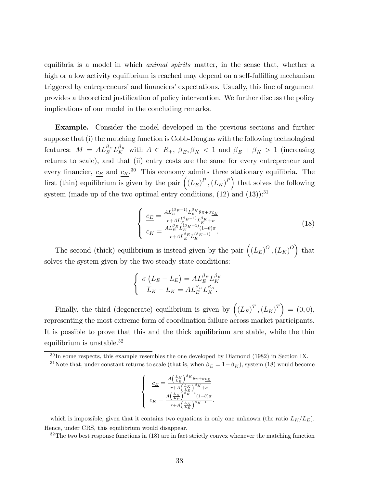equilibria is a model in which animal spirits matter, in the sense that, whether a high or a low activity equilibrium is reached may depend on a self-fulfilling mechanism triggered by entrepreneurs' and financiers' expectations. Usually, this line of argument provides a theoretical justification of policy intervention. We further discuss the policy implications of our model in the concluding remarks.

Example. Consider the model developed in the previous sections and further suppose that (i) the matching function is Cobb-Douglas with the following technological features:  $M = AL_{E}^{\beta_{E}} L_{K}^{\beta_{K}}$  with  $A \in R_{+}, \beta_{E}, \beta_{K} < 1$  and  $\beta_{E} + \beta_{K} > 1$  (increasing returns to scale), and that (ii) entry costs are the same for every entrepreneur and every financier,  $c_E$  and  $c_K$ .<sup>30</sup> This economy admits three stationary equilibria. The first (thin) equilibrium is given by the pair  $((L_E)^P, (L_K)^P)$  that solves the following system (made up of the two optimal entry conditions,  $(12)$  and  $(13)$ ):<sup>31</sup>

$$
\begin{cases} \n\frac{c_E}{K} = \frac{AL_E^{(\beta_E - 1)} L_K^{\beta_K} \theta \pi + \sigma c_E}{r + AL_E^{(\beta_E - 1)} L_K^{\beta_K} + \sigma} \\
\frac{c_K}{K} = \frac{AL_E^{\beta_E} L_K^{(\beta_K - 1)} (1 - \theta) \pi}{r + AL_E^{\beta_E} L_K^{(\beta_K - 1)}}.\n\end{cases} \tag{18}
$$

The second (thick) equilibrium is instead given by the pair  $((L_E)^O, (L_K)^O$ ) that solves the system given by the two steady-state conditions:

$$
\begin{cases}\n\sigma\left(\overline{L}_E - L_E\right) = AL_E^{\beta_E} L_K^{\beta_K} \\
\overline{L}_K - L_K = AL_E^{\beta_E} L_K^{\beta_K}.\n\end{cases}
$$

Finally, the third (degenerate) equilibrium is given by  $((L_E)^T, (L_K)^T) = (0,0),$ representing the most extreme form of coordination failure across market participants. It is possible to prove that this and the thick equilibrium are stable, while the thin equilibrium is unstable.<sup>32</sup>

 $30$  In some respects, this example resembles the one developed by Diamond (1982) in Section IX.

<sup>31</sup>Note that, under constant returns to scale (that is, when  $\beta_E = 1 - \beta_K$ ), system (18) would become

$$
\left\{ \begin{array}{c} \underline{c_E} = \frac{A \Big(\frac{L_K}{L_E}\Big)^{\beta_K} \theta \pi + \sigma \underline{c_E}}{r + A \Big(\frac{L_K}{L_E}\Big)^{\beta_K} + \sigma} \\ \underline{c_K} = \frac{A \Big(\frac{L_K}{L_E}\Big)^{\beta_K - 1} (1 - \theta) \pi}{r + A \Big(\frac{L_K}{L_E}\Big)^{\beta_K - 1}}. \end{array} \right.
$$

which is impossible, given that it contains two equations in only one unknown (the ratio  $L_K/L_E$ ). Hence, under CRS, this equilibrium would disappear.

 $32$ The two best response functions in (18) are in fact strictly convex whenever the matching function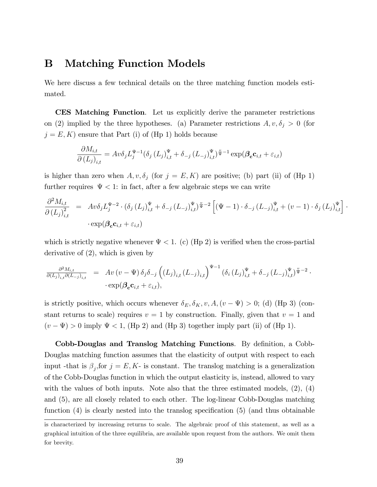# B Matching Function Models

We here discuss a few technical details on the three matching function models estimated.

CES Matching Function. Let us explicitly derive the parameter restrictions on (2) implied by the three hypotheses. (a) Parameter restrictions  $A, v, \delta_j > 0$  (for  $j = E, K$  ensure that Part (i) of (Hp 1) holds because

$$
\frac{\partial M_{i,t}}{\partial (L_j)_{i,t}} = Av \delta_j L_j^{\Psi-1} (\delta_j (L_j)_{i,t}^{\Psi} + \delta_{-j} (L_{-j})_{i,t}^{\Psi})^{\frac{v}{\Psi}-1} \exp(\beta_c \mathbf{c}_{i,t} + \varepsilon_{i,t})
$$

is higher than zero when  $A, v, \delta_j$  (for  $j = E, K$ ) are positive; (b) part (ii) of (Hp 1) further requires  $\Psi < 1$ : in fact, after a few algebraic steps we can write

$$
\frac{\partial^2 M_{i,t}}{\partial (L_j)_{i,t}^2} = A v \delta_j L_j^{\Psi-2} \cdot (\delta_j (L_j)_{i,t}^{\Psi} + \delta_{-j} (L_{-j})_{i,t}^{\Psi})^{\frac{v}{\Psi}-2} \left[ (\Psi - 1) \cdot \delta_{-j} (L_{-j})_{i,t}^{\Psi} + (v - 1) \cdot \delta_j (L_j)_{i,t}^{\Psi} \right] \cdot \exp(\beta_c \mathbf{c}_{i,t} + \varepsilon_{i,t})
$$

which is strictly negative whenever  $\Psi < 1$ . (c) (Hp 2) is verified when the cross-partial derivative of (2), which is given by

$$
\frac{\partial^2 M_{i,t}}{\partial (L_j)_{i,t}\partial (L_{-j})_{i,t}} = A v (v - \Psi) \delta_j \delta_{-j} \left( (L_j)_{i,t} (L_{-j})_{i,t} \right)^{\Psi-1} \left( \delta_i (L_j)_{i,t}^{\Psi} + \delta_{-j} (L_{-j})_{i,t}^{\Psi} \right)^{\frac{v}{\Psi}-2} \cdot \exp(\beta_c \mathbf{c}_{i,t} + \varepsilon_{i,t}),
$$

is strictly positive, which occurs whenever  $\delta_E, \delta_K, v, A, (v - \Psi) > 0$ ; (d) (Hp 3) (constant returns to scale) requires  $v = 1$  by construction. Finally, given that  $v = 1$  and  $(v - \Psi) > 0$  imply  $\Psi < 1$ , (Hp 2) and (Hp 3) together imply part (ii) of (Hp 1).

Cobb-Douglas and Translog Matching Functions. By definition, a Cobb-Douglas matching function assumes that the elasticity of output with respect to each input -that is  $\beta_j$ , for  $j = E, K$ - is constant. The translog matching is a generalization of the Cobb-Douglas function in which the output elasticity is, instead, allowed to vary with the values of both inputs. Note also that the three estimated models,  $(2)$ ,  $(4)$ and (5), are all closely related to each other. The log-linear Cobb-Douglas matching function  $(4)$  is clearly nested into the translog specification  $(5)$  (and thus obtainable

is characterized by increasing returns to scale. The algebraic proof of this statement, as well as a graphical intuition of the three equilibria, are available upon request from the authors. We omit them for brevity.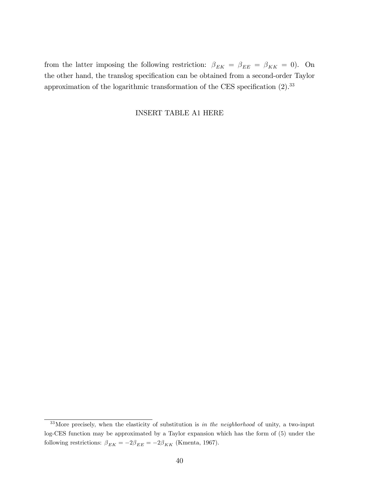from the latter imposing the following restriction:  $\beta_{EK} = \beta_{EE} = \beta_{KK} = 0$ . On the other hand, the translog specification can be obtained from a second-order Taylor approximation of the logarithmic transformation of the CES specification  $(2).^{33}$ 

### INSERT TABLE A1 HERE

 $33\text{More precisely, when the elasticity of substitution is in the neighborhood of unity, a two-input$ log-CES function may be approximated by a Taylor expansion which has the form of (5) under the following restrictions:  $\beta_{EK}=-2\beta_{EE}=-2\beta_{KK}$  (Kmenta, 1967).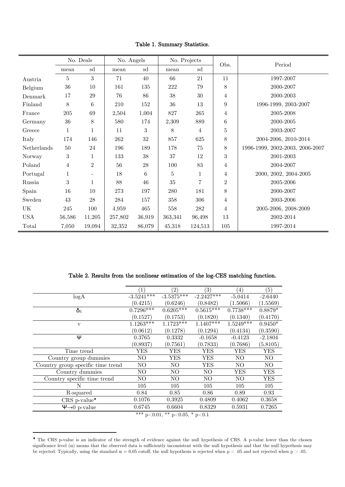|             | No. Deals      |                | No. Angels |        |                | No. Projects |                | Period                          |  |
|-------------|----------------|----------------|------------|--------|----------------|--------------|----------------|---------------------------------|--|
|             | mean           | sd             | mean       | sd     | mean           | sd           | Obs.           |                                 |  |
| Austria     | $\overline{5}$ | 3              | 71         | 40     | 66             | 21           | 11             | 1997-2007                       |  |
| Belgium     | 36             | 10             | 161        | 135    | 222            | 79           | 8              | 2000-2007                       |  |
| Denmark     | 17             | 29             | 76         | 86     | 38             | $30\,$       | $\overline{4}$ | 2000-2003                       |  |
| Finland     | $8\,$          | 6              | 210        | 152    | 36             | 13           | $\overline{9}$ | 1996-1999, 2003-2007            |  |
| France      | 205            | 69             | 2,504      | 1,004  | 827            | 265          | $\overline{4}$ | 2005-2008                       |  |
| Germany     | 36             | 8              | 580        | 174    | 2,309          | 889          | $\,6$          | 2000-2005                       |  |
| Greece      | 1              | 1              | 11         | 3      | 8              | 4            | 5              | 2003-2007                       |  |
| Italy       | 174            | 146            | 262        | 32     | 857            | 625          | $8\,$          | 2004-2006, 2010-2014            |  |
| Netherlands | 50             | 24             | 196        | 189    | 178            | 75           | $8\,$          | 1996-1999, 2002-2003, 2006-2007 |  |
| Norway      | 3              | 1              | 133        | 38     | 37             | 12           | 3              | 2001-2003                       |  |
| Poland      | $\overline{4}$ | $\overline{2}$ | 56         | 28     | 100            | 83           | 4              | 2004-2007                       |  |
| Portugal    | 1              |                | 18         | 6      | $\overline{5}$ | $\mathbf{1}$ | $\overline{4}$ | 2000, 2002, 2004-2005           |  |
| Russia      | 3              | 1              | 88         | 46     | 35             | 7            | $\overline{2}$ | 2005-2006                       |  |
| Spain       | 16             | 10             | 273        | 197    | 280            | 181          | $8\,$          | 2000-2007                       |  |
| Sweden      | 43             | 28             | 284        | 157    | 358            | 306          | $\overline{4}$ | 2003-2006                       |  |
| UK          | 245            | 100            | 4,959      | 465    | 558            | 282          | 4              | 2005-2006, 2008-2009            |  |
| <b>USA</b>  | 56,586         | 11,205         | 257,802    | 36,919 | 363,341        | 96,498       | 13             | 2002-2014                       |  |
| Total       | 7,050          | 19,094         | 32,352     | 86,079 | 45,318         | 124,513      | 105            | 1997-2014                       |  |

#### Table 1. Summary Statistics.

|  |  | Table 2. Results from the nonlinear estimation of the log-CES matching function. |  |  |  |
|--|--|----------------------------------------------------------------------------------|--|--|--|
|  |  |                                                                                  |  |  |  |

|                                               |              | $\left( 2\right)$ | 3)           | (4)         | (5)        |
|-----------------------------------------------|--------------|-------------------|--------------|-------------|------------|
| log A                                         | $-3.5241***$ | $-3.5375***$      | $-2.2427***$ | $-5.0414$   | $-2.6440$  |
|                                               | (0.4215)     | (0.6246)          | (0.8482)     | (1.5066)    | (1.5569)   |
| $\delta_{\rm E}$                              | $0.7296***$  | $0.6205***$       | $0.5615***$  | $0.7738***$ | $0.8879*$  |
|                                               | (0.1527)     | (0.1753)          | (0.1820)     | (0.1340)    | (0.4170)   |
| $\overline{\mathbf{V}}$                       | $1.1263***$  | $1.1723***$       | $1.1407***$  | $1.5249***$ | $0.9450*$  |
|                                               | (0.0612)     | (0.1278)          | (0.1294)     | (0.4134)    | (0.3590)   |
| Ψ                                             | 0.3765       | 0.3332            | $-0.1658$    | $-0.4123$   | $-2.1804$  |
|                                               | (0.8937)     | (0.7561)          | (0.7833)     | (0.7686)    | (5.8105)   |
| Time trend                                    | YES          | <b>YES</b>        | <b>YES</b>   | YES         | <b>YES</b> |
| Country group dummies                         | NO           | YES               | <b>YES</b>   | NO.         | NO         |
| Country group specific time trend             | NO           | NO                | <b>YES</b>   | NO.         | NO         |
| Country dummies                               | NO           | NO                | NO.          | YES         | <b>YES</b> |
| Country specific time trend                   | NO           | NO                | NO.          | NO.         | YES        |
| N                                             | 105          | 105               | 105          | 105         | 105        |
| R-squared                                     | 0.84         | 0.85              | 0.86         | 0.89        | 0.93       |
| $CRS$ p-value <sup><math>\bullet</math></sup> | 0.1076       | 0.3925            | 0.4809       | 0.4062      | 0.3658     |
| $\Psi \rightarrow 0$ p-value                  | 0.6745       | 0.6604            | 0.8329       | 0.5931      | 0.7265     |

1

\*\*\* p<0.01, \*\* p<0.05, \* p<0.1

The CRS p-value is an indicator of the strength of evidence against the null hypothesis of CRS. A p-value lower than the chosen significance level  $(\alpha)$  means that the observed data is sufficiently inconsistent with the null hypothesis and that the null hypothesis may be rejected. Typically, using the standard  $\alpha = 0.05$  cutoff, the null hypothesis is rejected when  $p < .05$  and not rejected when  $p > .05$ .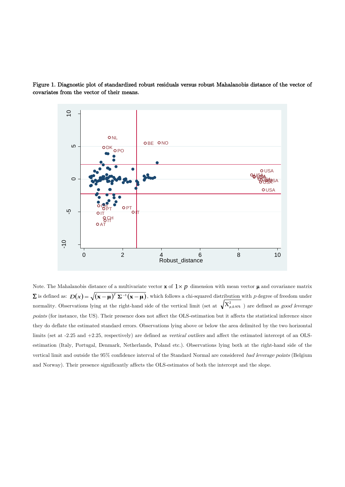Figure 1. Diagnostic plot of standardized robust residuals versus robust Mahalanobis distance of the vector of covariates from the vector of their means.



Note. The Mahalanobis distance of a multivariate vector **x** of  $1 \times p$  dimension with mean vector  $\mu$  and covariance matrix  $\Sigma$  is defined as:  $D(x) = \sqrt{(x-\mu)^T \Sigma^{-1}(x-\mu)}$ , which follows a chi-squared distribution with p degree of freedom under normality. Observations lying at the right-hand side of the vertical limit (set at  $\sqrt{X_{p,0.975}^2}$ ) are defined as *good leverage* points (for instance, the US). Their presence does not affect the OLS-estimation but it affects the statistical inference since they do deflate the estimated standard errors. Observations lying above or below the area delimited by the two horizontal limits (set at -2.25 and +2.25, respectively) are defined as *vertical outliers* and affect the estimated intercept of an OLSestimation (Italy, Portugal, Denmark, Netherlands, Poland etc.). Observations lying both at the right-hand side of the vertical limit and outside the 95% confidence interval of the Standard Normal are considered bad leverage points (Belgium and Norway). Their presence significantly affects the OLS-estimates of both the intercept and the slope.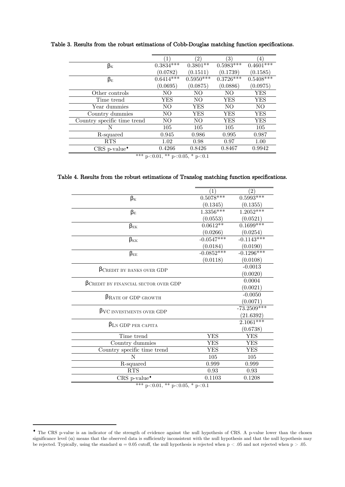|                                               |                                       | $^{\prime}2)$ | 3)          | $4^{\circ}$ |
|-----------------------------------------------|---------------------------------------|---------------|-------------|-------------|
| $\beta_{\rm K}$                               | $0.3834***$                           | $0.3801**$    | $0.5983***$ | $0.4601***$ |
|                                               | (0.0782)                              | (0.1511)      | (0.1739)    | (0.1585)    |
| $\beta_{\rm E}$                               | $0.6414***$                           | $0.5950***$   | $0.3726***$ | $0.5408***$ |
|                                               | (0.0695)                              | (0.0875)      | (0.0886)    | (0.0975)    |
| Other controls                                | NO                                    | NO            | NO          | YES         |
| Time trend                                    | YES                                   | NO.           | YES         | YES         |
| Year dummies                                  | NO.                                   | YES           | NO.         | NO          |
| Country dummies                               | NO.                                   | <b>YES</b>    | <b>YES</b>  | YES         |
| Country specific time trend                   | NO                                    | NO.           | YES         | YES         |
| N                                             | 105                                   | 105           | 105         | 105         |
| R-squared                                     | 0.945                                 | 0.986         | 0.995       | 0.987       |
| <b>RTS</b>                                    | 1.02                                  | 0.98          | 0.97        | 1.00        |
| $CRS$ p-value <sup><math>\bullet</math></sup> | 0.4266                                | 0.8426        | 0.8467      | 0.9942      |
|                                               | $***$ $-0.01$ $**$ $-0.05$ $*$ $-0.1$ |               |             |             |

Table 3. Results from the robust estimations of Cobb-Douglas matching function specifications.

 $p<0.01$ , \*\*  $p<0.05$ , \*  $p<0.1$ 

Table 4. Results from the robust estimations of Translog matching function specifications.

|                                             | (1)          | $\left( 2\right)$ |
|---------------------------------------------|--------------|-------------------|
| $\beta_{\rm K}$                             | $0.5078***$  | $0.5993***$       |
|                                             | (0.1345)     | (0.1355)          |
| $\beta_{\rm E}$                             | $1.3356***$  | $1.2052***$       |
|                                             | (0.0553)     | (0.0521)          |
| $\beta_{\rm EK}$                            | $0.0612**$   | $0.1699***$       |
|                                             | (0.0266)     | (0.0254)          |
| $\beta_{\rm KK}$                            | $-0.0547***$ | $-0.1143***$      |
|                                             | (0.0184)     | (0.0190)          |
| $\beta_{\rm EE}$                            | $-0.0852***$ | $-0.1296***$      |
|                                             | (0.0118)     | (0.0108)          |
| <b>BCREDIT BY BANKS OVER GDP</b>            |              | $-0.0013$         |
|                                             |              | (0.0020)          |
| $\beta$ CREDIT BY FINANCIAL SECTOR OVER GDP |              | $0.0004\,$        |
|                                             |              | (0.0021)          |
| $\beta_{\rm RATE}$ of GDP growth            |              | $-0.0050$         |
|                                             |              | (0.0071)          |
| $\beta$ VC INVESTMENTS OVER GDP             |              | $-73.2509***$     |
|                                             |              | (21.6392)         |
| $\beta$ LN GDP PER CAPITA                   |              | $2.1061***$       |
|                                             |              | (0.6738)          |
| Time trend                                  | YES          | YES               |
| Country dummies                             | YES          | <b>YES</b>        |
| Country specific time trend                 | <b>YES</b>   | <b>YES</b>        |
| N                                           | 105          | 105               |
| R-squared                                   | 0.999        | 0.999             |
| RTS                                         | 0.93         | 0.93              |
| CRS p-value <sup><math>\bullet</math></sup> | 0.1103       | 0.1208            |
|                                             |              |                   |

\*\*\* p<0.01, \*\* p<0.05, \* p<0.1

1

The CRS p-value is an indicator of the strength of evidence against the null hypothesis of CRS. A p-value lower than the chosen significance level  $(\alpha)$  means that the observed data is sufficiently inconsistent with the null hypothesis and that the null hypothesis may be rejected. Typically, using the standard  $\alpha = 0.05$  cutoff, the null hypothesis is rejected when  $p < .05$  and not rejected when  $p > .05$ .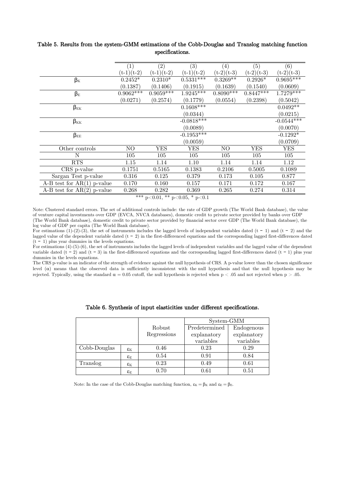|                              | (1)          | (2)          | $\left( 3\right)$                   | (4)          | (5)          | (6)          |
|------------------------------|--------------|--------------|-------------------------------------|--------------|--------------|--------------|
|                              | $(t-1)(t-2)$ | $(t-1)(t-2)$ | $(t-1)(t-2)$                        | $(t-2)(t-3)$ | $(t-2)(t-3)$ | $(t-2)(t-3)$ |
| $\beta_{\rm K}$              | $0.2452*$    | $0.2310*$    | $0.5331***$                         | $0.3269**$   | $0.2926*$    | $0.9695***$  |
|                              | (0.1387)     | (0.1406)     | (0.1915)                            | (0.1639)     | (0.1540)     | (0.0609)     |
| $\beta_{\rm E}$              | $0.9062***$  | $0.9059***$  | $1.9245***$                         | $0.8090***$  | $0.8447***$  | $1.7279***$  |
|                              | (0.0271)     | (0.2574)     | (0.1779)                            | (0.0554)     | (0.2398)     | (0.5042)     |
| $\beta_{\rm EK}$             |              |              | $0.1608***$                         |              |              | $0.0492**$   |
|                              |              |              | (0.0344)                            |              |              | (0.0215)     |
| $\beta_{\rm KK}$             |              |              | $-0.0818***$                        |              |              | $-0.0544***$ |
|                              |              |              | (0.0089)                            |              |              | (0.0070)     |
| $\beta_{EE}$                 |              |              | $-0.1953***$                        |              |              | $-0.1292*$   |
|                              |              |              | (0.0059)                            |              |              | (0.0709)     |
| Other controls               | NO           | YES          | YES                                 | NO           | YES          | YES          |
| N                            | 105          | 105          | 105                                 | 105          | 105          | 105          |
| <b>RTS</b>                   | 1.15         | 1.14         | 1.10                                | 1.14         | 1.14         | 1.12         |
| CRS p-value                  | 0.1751       | 0.5165       | 0.1383                              | 0.2106       | 0.5005       | 0.1089       |
| Sargan Test p-value          | 0.316        | 0.125        | 0.379                               | 0.173        | 0.105        | 0.877        |
| A-B test for $AR(1)$ p-value | 0.170        | 0.160        | 0.157                               | 0.171        | 0.172        | 0.167        |
| A-B test for $AR(2)$ p-value | 0.268        | 0.282        | 0.369                               | 0.265        | 0.274        | 0.314        |
|                              |              |              | $*** - 20.01$ ** $-20.05$ * $-20.1$ |              |              |              |

#### Table 5. Results from the system-GMM estimations of the Cobb-Douglas and Translog matching function specifications.

 $p<0.01$ , \*\*  $p<0.05$ , \*  $p<0.1$ 

Note: Clustered standard errors. The set of additional controls include: the rate of GDP growth (The World Bank database), the value of venture capital investments over GDP (EVCA, NVCA databases), domestic credit to private sector provided by banks over GDP (The World Bank database), domestic credit to private sector provided by financial sector over GDP (The World Bank database), the log value of GDP per capita (The World Bank database).

For estimations  $(1)-(2)-(3)$ , the set of instruments includes the lagged levels of independent variables dated  $(t - 1)$  and  $(t - 2)$  and the lagged value of the dependent variable dated (t − 2) in the first-differenced equations and the corresponding lagged first-differences dated (t − 1) plus year dummies in the levels equations.

For estimations (4)-(5)-(6), the set of instruments includes the lagged levels of independent variables and the lagged value of the dependent variable dated  $(t - 2)$  and  $(t - 3)$  in the first-differenced equations and the corresponding lagged first-differences dated  $(t - 1)$  plus year dummies in the levels equations.

The CRS p-value is an indicator of the strength of evidence against the null hypothesis of CRS. A p-value lower than the chosen significance level  $(\alpha)$  means that the observed data is sufficiently inconsistent with the null hypothesis and that the null hypothesis may be rejected. Typically, using the standard  $\alpha = 0.05$  cutoff, the null hypothesis is rejected when  $p < .05$  and not rejected when  $p > .05$ .

|              |                    |             | System-GMM    |             |  |  |
|--------------|--------------------|-------------|---------------|-------------|--|--|
|              |                    | Robust      | Predetermined | Endogenous  |  |  |
|              |                    | Regressions | explanatory   | explanatory |  |  |
|              |                    |             | variables     | variables   |  |  |
| Cobb-Douglas | $\epsilon_{\rm K}$ | 0.46        | 0.23          | 0.29        |  |  |
|              | $\epsilon_{\rm E}$ | 0.54        | 0.91          | 0.84        |  |  |
| Translog     | $\epsilon_{\rm K}$ | 0.23        | 0.49          | 0.61        |  |  |
|              | $\epsilon_{\rm E}$ | 0.70        | 0.61          | 0.51        |  |  |

| Table 6. Synthesis of input elasticities under different specifications. |  |  |
|--------------------------------------------------------------------------|--|--|
|                                                                          |  |  |

Note: In the case of the Cobb-Douglas matching function,  $\epsilon_K = \beta_K$  and  $\epsilon_E = \beta_E$ .